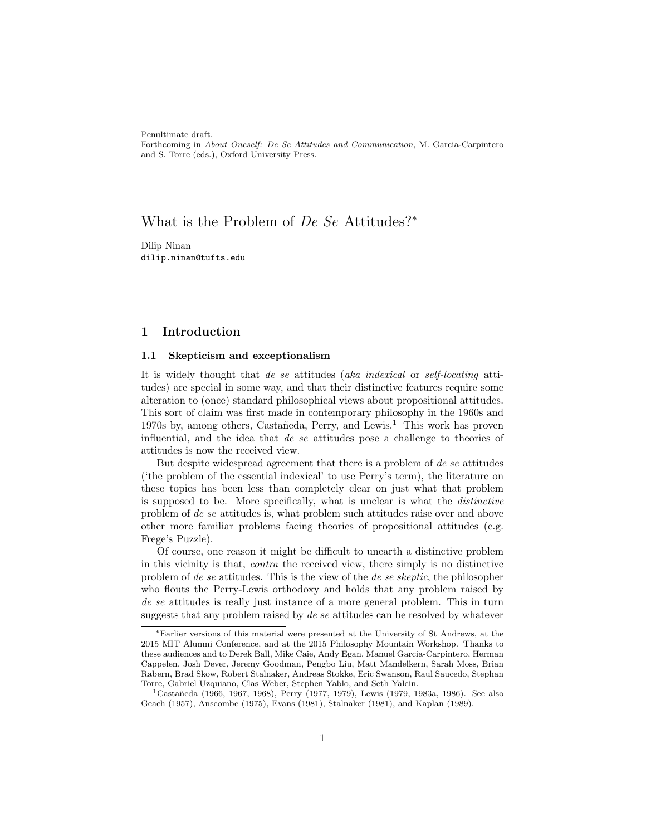Penultimate draft. Forthcoming in About Oneself: De Se Attitudes and Communication, M. Garcia-Carpintero and S. Torre (eds.), Oxford University Press.

# What is the Problem of De Se Attitudes?<sup>∗</sup>

Dilip Ninan dilip.ninan@tufts.edu

# 1 Introduction

### 1.1 Skepticism and exceptionalism

It is widely thought that de se attitudes (aka indexical or self-locating attitudes) are special in some way, and that their distinctive features require some alteration to (once) standard philosophical views about propositional attitudes. This sort of claim was first made in contemporary philosophy in the 1960s and 1970s by, among others, Castañeda, Perry, and Lewis.<sup>1</sup> This work has proven influential, and the idea that de se attitudes pose a challenge to theories of attitudes is now the received view.

But despite widespread agreement that there is a problem of de se attitudes ('the problem of the essential indexical' to use Perry's term), the literature on these topics has been less than completely clear on just what that problem is supposed to be. More specifically, what is unclear is what the distinctive problem of de se attitudes is, what problem such attitudes raise over and above other more familiar problems facing theories of propositional attitudes (e.g. Frege's Puzzle).

Of course, one reason it might be difficult to unearth a distinctive problem in this vicinity is that, contra the received view, there simply is no distinctive problem of de se attitudes. This is the view of the de se skeptic, the philosopher who flouts the Perry-Lewis orthodoxy and holds that any problem raised by de se attitudes is really just instance of a more general problem. This in turn suggests that any problem raised by de se attitudes can be resolved by whatever

<sup>∗</sup>Earlier versions of this material were presented at the University of St Andrews, at the 2015 MIT Alumni Conference, and at the 2015 Philosophy Mountain Workshop. Thanks to these audiences and to Derek Ball, Mike Caie, Andy Egan, Manuel Garcia-Carpintero, Herman Cappelen, Josh Dever, Jeremy Goodman, Pengbo Liu, Matt Mandelkern, Sarah Moss, Brian Rabern, Brad Skow, Robert Stalnaker, Andreas Stokke, Eric Swanson, Raul Saucedo, Stephan Torre, Gabriel Uzquiano, Clas Weber, Stephen Yablo, and Seth Yalcin.

<sup>&</sup>lt;sup>1</sup>Castañeda (1966, 1967, 1968), Perry (1977, 1979), Lewis (1979, 1983a, 1986). See also Geach (1957), Anscombe (1975), Evans (1981), Stalnaker (1981), and Kaplan (1989).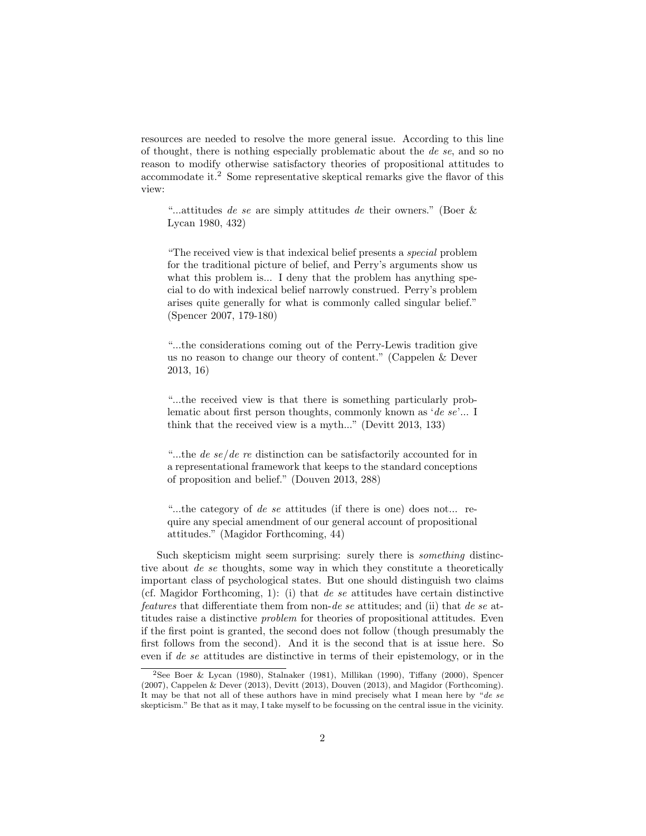resources are needed to resolve the more general issue. According to this line of thought, there is nothing especially problematic about the de se, and so no reason to modify otherwise satisfactory theories of propositional attitudes to accommodate it.<sup>2</sup> Some representative skeptical remarks give the flavor of this view:

"...attitudes de se are simply attitudes de their owners." (Boer  $\&$ Lycan 1980, 432)

"The received view is that indexical belief presents a special problem for the traditional picture of belief, and Perry's arguments show us what this problem is... I deny that the problem has anything special to do with indexical belief narrowly construed. Perry's problem arises quite generally for what is commonly called singular belief." (Spencer 2007, 179-180)

"...the considerations coming out of the Perry-Lewis tradition give us no reason to change our theory of content." (Cappelen & Dever 2013, 16)

"...the received view is that there is something particularly problematic about first person thoughts, commonly known as 'de se'... I think that the received view is a myth..." (Devitt 2013, 133)

"...the de se/de re distinction can be satisfactorily accounted for in a representational framework that keeps to the standard conceptions of proposition and belief." (Douven 2013, 288)

"...the category of de se attitudes (if there is one) does not... require any special amendment of our general account of propositional attitudes." (Magidor Forthcoming, 44)

Such skepticism might seem surprising: surely there is something distinctive about de se thoughts, some way in which they constitute a theoretically important class of psychological states. But one should distinguish two claims (cf. Magidor Forthcoming, 1): (i) that de se attitudes have certain distinctive features that differentiate them from non-de se attitudes; and (ii) that de se attitudes raise a distinctive problem for theories of propositional attitudes. Even if the first point is granted, the second does not follow (though presumably the first follows from the second). And it is the second that is at issue here. So even if de se attitudes are distinctive in terms of their epistemology, or in the

<sup>2</sup>See Boer & Lycan (1980), Stalnaker (1981), Millikan (1990), Tiffany (2000), Spencer (2007), Cappelen & Dever (2013), Devitt (2013), Douven (2013), and Magidor (Forthcoming). It may be that not all of these authors have in mind precisely what I mean here by "de se skepticism." Be that as it may, I take myself to be focussing on the central issue in the vicinity.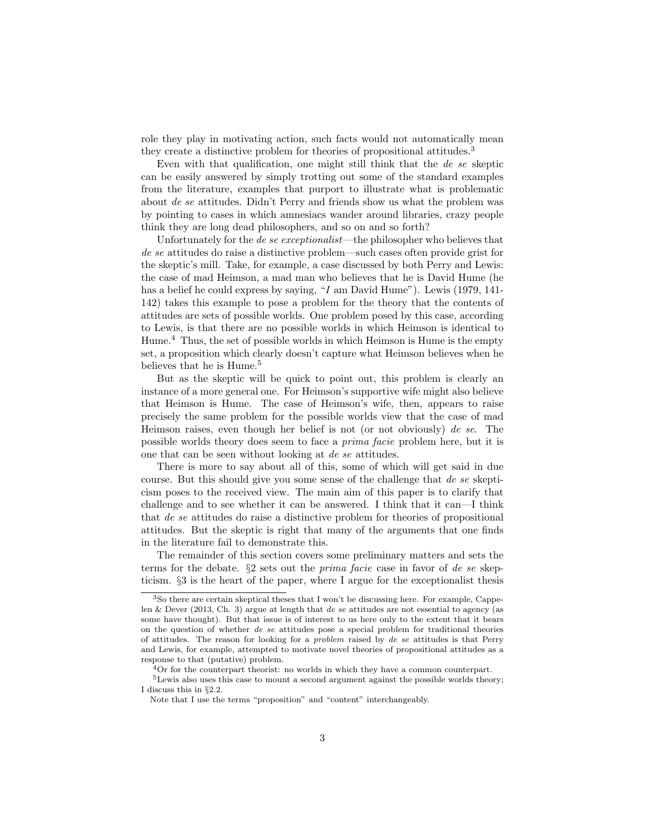role they play in motivating action, such facts would not automatically mean they create a distinctive problem for theories of propositional attitudes.<sup>3</sup>

Even with that qualification, one might still think that the de se skeptic can be easily answered by simply trotting out some of the standard examples from the literature, examples that purport to illustrate what is problematic about de se attitudes. Didn't Perry and friends show us what the problem was by pointing to cases in which amnesiacs wander around libraries, crazy people think they are long dead philosophers, and so on and so forth?

Unfortunately for the *de se exceptionalist*—the philosopher who believes that de se attitudes do raise a distinctive problem—such cases often provide grist for the skeptic's mill. Take, for example, a case discussed by both Perry and Lewis: the case of mad Heimson, a mad man who believes that he is David Hume (he has a belief he could express by saying, "I am David Hume"). Lewis (1979, 141- 142) takes this example to pose a problem for the theory that the contents of attitudes are sets of possible worlds. One problem posed by this case, according to Lewis, is that there are no possible worlds in which Heimson is identical to Hume.<sup>4</sup> Thus, the set of possible worlds in which Heimson is Hume is the empty set, a proposition which clearly doesn't capture what Heimson believes when he believes that he is Hume.<sup>5</sup>

But as the skeptic will be quick to point out, this problem is clearly an instance of a more general one. For Heimson's supportive wife might also believe that Heimson is Hume. The case of Heimson's wife, then, appears to raise precisely the same problem for the possible worlds view that the case of mad Heimson raises, even though her belief is not (or not obviously) de se. The possible worlds theory does seem to face a prima facie problem here, but it is one that can be seen without looking at de se attitudes.

There is more to say about all of this, some of which will get said in due course. But this should give you some sense of the challenge that de se skepticism poses to the received view. The main aim of this paper is to clarify that challenge and to see whether it can be answered. I think that it can—I think that de se attitudes do raise a distinctive problem for theories of propositional attitudes. But the skeptic is right that many of the arguments that one finds in the literature fail to demonstrate this.

The remainder of this section covers some preliminary matters and sets the terms for the debate. §2 sets out the prima facie case in favor of de se skepticism. §3 is the heart of the paper, where I argue for the exceptionalist thesis

<sup>&</sup>lt;sup>3</sup>So there are certain skeptical theses that I won't be discussing here. For example, Cappelen & Dever (2013, Ch. 3) argue at length that de se attitudes are not essential to agency (as some have thought). But that issue is of interest to us here only to the extent that it bears on the question of whether de se attitudes pose a special problem for traditional theories of attitudes. The reason for looking for a problem raised by de se attitudes is that Perry and Lewis, for example, attempted to motivate novel theories of propositional attitudes as a response to that (putative) problem.

 $4$ Or for the counterpart theorist: no worlds in which they have a common counterpart.

<sup>5</sup>Lewis also uses this case to mount a second argument against the possible worlds theory; I discuss this in §2.2.

Note that I use the terms "proposition" and "content" interchangeably.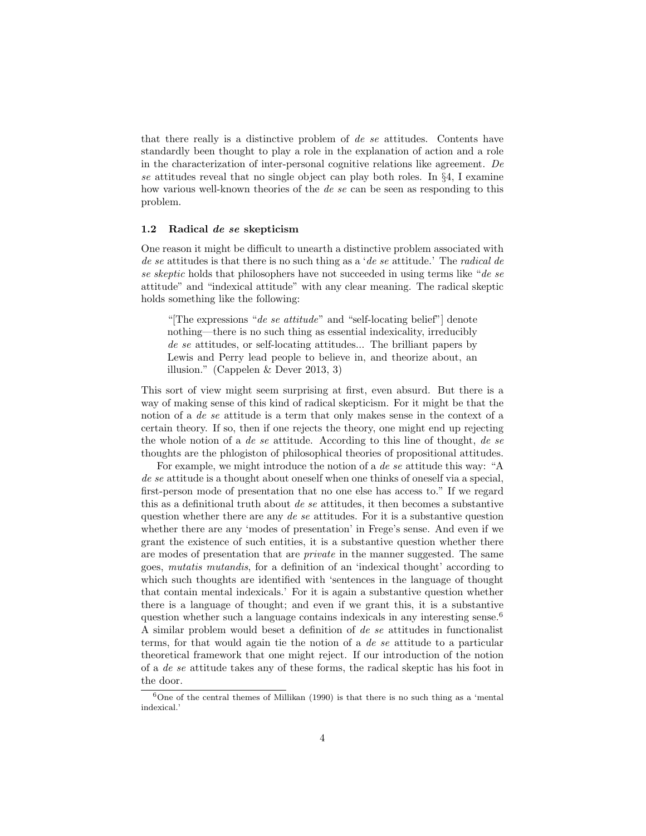that there really is a distinctive problem of de se attitudes. Contents have standardly been thought to play a role in the explanation of action and a role in the characterization of inter-personal cognitive relations like agreement. De se attitudes reveal that no single object can play both roles. In  $\S 4$ , I examine how various well-known theories of the de se can be seen as responding to this problem.

### 1.2 Radical de se skepticism

One reason it might be difficult to unearth a distinctive problem associated with de se attitudes is that there is no such thing as a 'de se attitude.' The radical de se skeptic holds that philosophers have not succeeded in using terms like "de se attitude" and "indexical attitude" with any clear meaning. The radical skeptic holds something like the following:

"[The expressions "de se attitude" and "self-locating belief"] denote nothing—there is no such thing as essential indexicality, irreducibly de se attitudes, or self-locating attitudes... The brilliant papers by Lewis and Perry lead people to believe in, and theorize about, an illusion." (Cappelen & Dever 2013, 3)

This sort of view might seem surprising at first, even absurd. But there is a way of making sense of this kind of radical skepticism. For it might be that the notion of a de se attitude is a term that only makes sense in the context of a certain theory. If so, then if one rejects the theory, one might end up rejecting the whole notion of a de se attitude. According to this line of thought, de se thoughts are the phlogiston of philosophical theories of propositional attitudes.

For example, we might introduce the notion of a *de se* attitude this way: "A de se attitude is a thought about oneself when one thinks of oneself via a special, first-person mode of presentation that no one else has access to." If we regard this as a definitional truth about  $de se$  attitudes, it then becomes a substantive question whether there are any de se attitudes. For it is a substantive question whether there are any 'modes of presentation' in Frege's sense. And even if we grant the existence of such entities, it is a substantive question whether there are modes of presentation that are private in the manner suggested. The same goes, mutatis mutandis, for a definition of an 'indexical thought' according to which such thoughts are identified with 'sentences in the language of thought that contain mental indexicals.' For it is again a substantive question whether there is a language of thought; and even if we grant this, it is a substantive question whether such a language contains indexicals in any interesting sense.<sup>6</sup> A similar problem would beset a definition of de se attitudes in functionalist terms, for that would again tie the notion of a de se attitude to a particular theoretical framework that one might reject. If our introduction of the notion of a de se attitude takes any of these forms, the radical skeptic has his foot in the door.

<sup>&</sup>lt;sup>6</sup>One of the central themes of Millikan (1990) is that there is no such thing as a 'mental indexical.'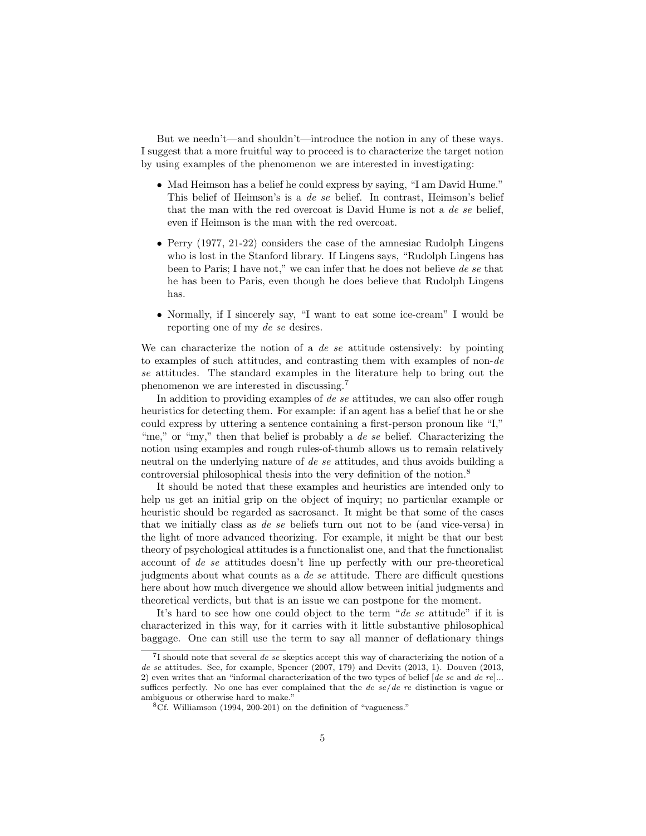But we needn't—and shouldn't—introduce the notion in any of these ways. I suggest that a more fruitful way to proceed is to characterize the target notion by using examples of the phenomenon we are interested in investigating:

- Mad Heimson has a belief he could express by saying, "I am David Hume." This belief of Heimson's is a de se belief. In contrast, Heimson's belief that the man with the red overcoat is David Hume is not a de se belief, even if Heimson is the man with the red overcoat.
- Perry (1977, 21-22) considers the case of the amnesiac Rudolph Lingens who is lost in the Stanford library. If Lingens says, "Rudolph Lingens has been to Paris; I have not," we can infer that he does not believe de se that he has been to Paris, even though he does believe that Rudolph Lingens has.
- Normally, if I sincerely say, "I want to eat some ice-cream" I would be reporting one of my de se desires.

We can characterize the notion of a *de se* attitude ostensively: by pointing to examples of such attitudes, and contrasting them with examples of non-de se attitudes. The standard examples in the literature help to bring out the phenomenon we are interested in discussing.<sup>7</sup>

In addition to providing examples of de se attitudes, we can also offer rough heuristics for detecting them. For example: if an agent has a belief that he or she could express by uttering a sentence containing a first-person pronoun like "I," "me," or "my," then that belief is probably a *de se* belief. Characterizing the notion using examples and rough rules-of-thumb allows us to remain relatively neutral on the underlying nature of de se attitudes, and thus avoids building a controversial philosophical thesis into the very definition of the notion.<sup>8</sup>

It should be noted that these examples and heuristics are intended only to help us get an initial grip on the object of inquiry; no particular example or heuristic should be regarded as sacrosanct. It might be that some of the cases that we initially class as de se beliefs turn out not to be (and vice-versa) in the light of more advanced theorizing. For example, it might be that our best theory of psychological attitudes is a functionalist one, and that the functionalist account of de se attitudes doesn't line up perfectly with our pre-theoretical judgments about what counts as a de se attitude. There are difficult questions here about how much divergence we should allow between initial judgments and theoretical verdicts, but that is an issue we can postpone for the moment.

It's hard to see how one could object to the term "de se attitude" if it is characterized in this way, for it carries with it little substantive philosophical baggage. One can still use the term to say all manner of deflationary things

<sup>&</sup>lt;sup>7</sup>I should note that several de se skeptics accept this way of characterizing the notion of a de se attitudes. See, for example, Spencer (2007, 179) and Devitt (2013, 1). Douven (2013, 2) even writes that an "informal characterization of the two types of belief  $de$  se and  $de$  re]... suffices perfectly. No one has ever complained that the de se/de re distinction is vague or ambiguous or otherwise hard to make."

 ${}^{8}$ Cf. Williamson (1994, 200-201) on the definition of "vagueness."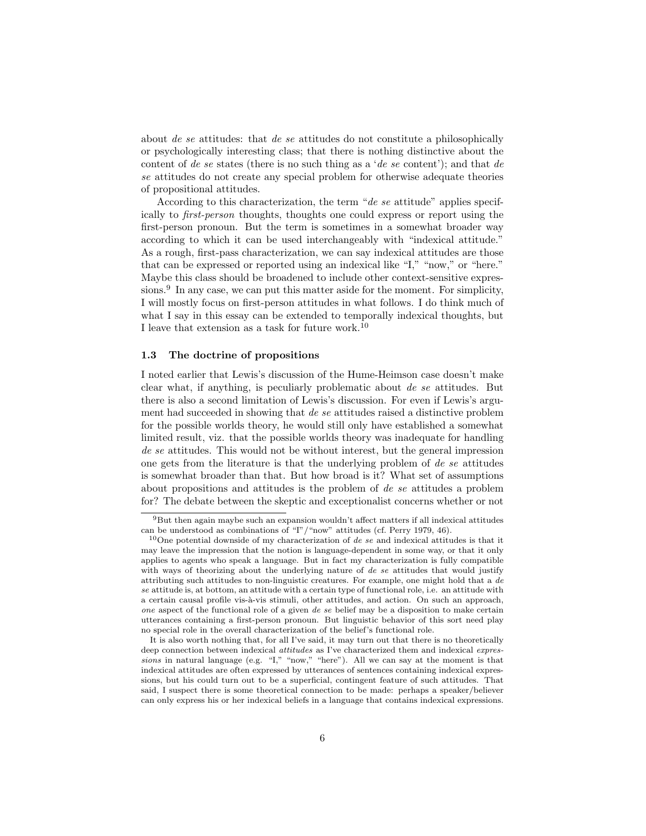about de se attitudes: that de se attitudes do not constitute a philosophically or psychologically interesting class; that there is nothing distinctive about the content of de se states (there is no such thing as a 'de se content'); and that de se attitudes do not create any special problem for otherwise adequate theories of propositional attitudes.

According to this characterization, the term "de se attitude" applies specifically to first-person thoughts, thoughts one could express or report using the first-person pronoun. But the term is sometimes in a somewhat broader way according to which it can be used interchangeably with "indexical attitude." As a rough, first-pass characterization, we can say indexical attitudes are those that can be expressed or reported using an indexical like "I," "now," or "here." Maybe this class should be broadened to include other context-sensitive expressions.<sup>9</sup> In any case, we can put this matter aside for the moment. For simplicity, I will mostly focus on first-person attitudes in what follows. I do think much of what I say in this essay can be extended to temporally indexical thoughts, but I leave that extension as a task for future work.  $^{\rm 10}$ 

#### 1.3 The doctrine of propositions

I noted earlier that Lewis's discussion of the Hume-Heimson case doesn't make clear what, if anything, is peculiarly problematic about de se attitudes. But there is also a second limitation of Lewis's discussion. For even if Lewis's argument had succeeded in showing that de se attitudes raised a distinctive problem for the possible worlds theory, he would still only have established a somewhat limited result, viz. that the possible worlds theory was inadequate for handling de se attitudes. This would not be without interest, but the general impression one gets from the literature is that the underlying problem of de se attitudes is somewhat broader than that. But how broad is it? What set of assumptions about propositions and attitudes is the problem of de se attitudes a problem for? The debate between the skeptic and exceptionalist concerns whether or not

 $^9\mathrm{But}$  then again maybe such an expansion wouldn't affect matters if all indexical attitudes can be understood as combinations of "I"/"now" attitudes (cf. Perry 1979, 46).

 $10$ One potential downside of my characterization of de se and indexical attitudes is that it may leave the impression that the notion is language-dependent in some way, or that it only applies to agents who speak a language. But in fact my characterization is fully compatible with ways of theorizing about the underlying nature of  $de se$  attitudes that would justify attributing such attitudes to non-linguistic creatures. For example, one might hold that a de se attitude is, at bottom, an attitude with a certain type of functional role, i.e. an attitude with a certain causal profile vis-à-vis stimuli, other attitudes, and action. On such an approach, one aspect of the functional role of a given de se belief may be a disposition to make certain utterances containing a first-person pronoun. But linguistic behavior of this sort need play no special role in the overall characterization of the belief's functional role.

It is also worth nothing that, for all I've said, it may turn out that there is no theoretically deep connection between indexical *attitudes* as I've characterized them and indexical *expres*sions in natural language (e.g.  $T$ , "now," "here"). All we can say at the moment is that indexical attitudes are often expressed by utterances of sentences containing indexical expressions, but his could turn out to be a superficial, contingent feature of such attitudes. That said, I suspect there is some theoretical connection to be made: perhaps a speaker/believer can only express his or her indexical beliefs in a language that contains indexical expressions.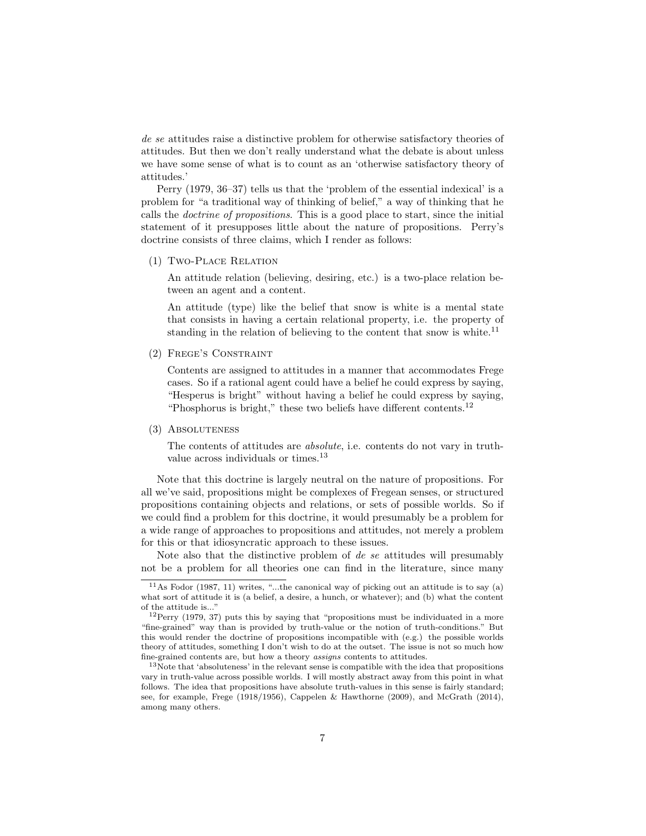de se attitudes raise a distinctive problem for otherwise satisfactory theories of attitudes. But then we don't really understand what the debate is about unless we have some sense of what is to count as an 'otherwise satisfactory theory of attitudes.'

Perry (1979, 36–37) tells us that the 'problem of the essential indexical' is a problem for "a traditional way of thinking of belief," a way of thinking that he calls the doctrine of propositions. This is a good place to start, since the initial statement of it presupposes little about the nature of propositions. Perry's doctrine consists of three claims, which I render as follows:

(1) Two-Place Relation

An attitude relation (believing, desiring, etc.) is a two-place relation between an agent and a content.

An attitude (type) like the belief that snow is white is a mental state that consists in having a certain relational property, i.e. the property of standing in the relation of believing to the content that snow is white.<sup>11</sup>

(2) Frege's Constraint

Contents are assigned to attitudes in a manner that accommodates Frege cases. So if a rational agent could have a belief he could express by saying, "Hesperus is bright" without having a belief he could express by saying, "Phosphorus is bright," these two beliefs have different contents.<sup>12</sup>

(3) Absoluteness

The contents of attitudes are absolute, i.e. contents do not vary in truthvalue across individuals or times.<sup>13</sup>

Note that this doctrine is largely neutral on the nature of propositions. For all we've said, propositions might be complexes of Fregean senses, or structured propositions containing objects and relations, or sets of possible worlds. So if we could find a problem for this doctrine, it would presumably be a problem for a wide range of approaches to propositions and attitudes, not merely a problem for this or that idiosyncratic approach to these issues.

Note also that the distinctive problem of de se attitudes will presumably not be a problem for all theories one can find in the literature, since many

 $11\,\mathrm{As}$  Fodor (1987, 11) writes, "...the canonical way of picking out an attitude is to say (a) what sort of attitude it is (a belief, a desire, a hunch, or whatever); and (b) what the content of the attitude is..."

 $12$ Perry (1979, 37) puts this by saying that "propositions must be individuated in a more "fine-grained" way than is provided by truth-value or the notion of truth-conditions." But this would render the doctrine of propositions incompatible with (e.g.) the possible worlds theory of attitudes, something I don't wish to do at the outset. The issue is not so much how fine-grained contents are, but how a theory assigns contents to attitudes.

 $13$ Note that 'absoluteness' in the relevant sense is compatible with the idea that propositions vary in truth-value across possible worlds. I will mostly abstract away from this point in what follows. The idea that propositions have absolute truth-values in this sense is fairly standard; see, for example, Frege (1918/1956), Cappelen & Hawthorne (2009), and McGrath (2014), among many others.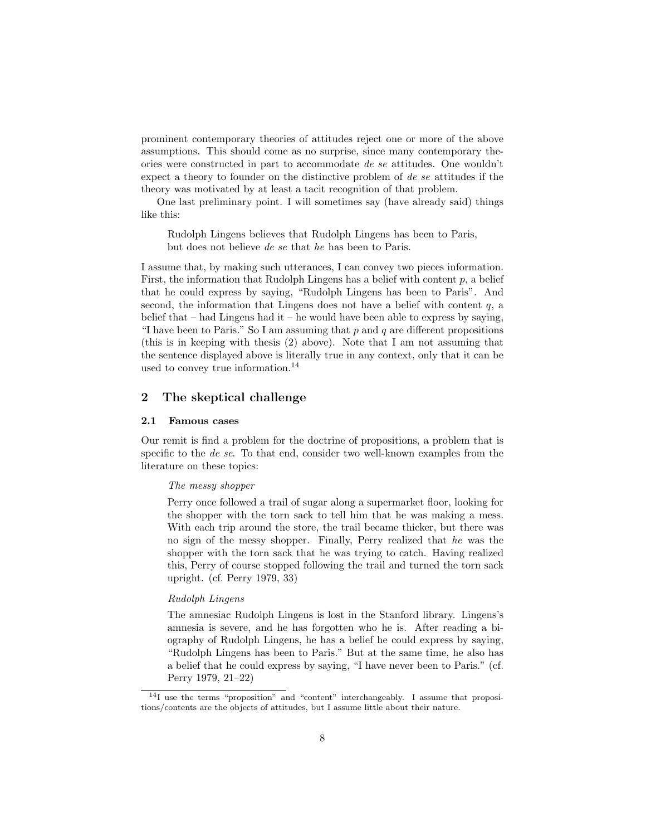prominent contemporary theories of attitudes reject one or more of the above assumptions. This should come as no surprise, since many contemporary theories were constructed in part to accommodate de se attitudes. One wouldn't expect a theory to founder on the distinctive problem of de se attitudes if the theory was motivated by at least a tacit recognition of that problem.

One last preliminary point. I will sometimes say (have already said) things like this:

Rudolph Lingens believes that Rudolph Lingens has been to Paris, but does not believe de se that he has been to Paris.

I assume that, by making such utterances, I can convey two pieces information. First, the information that Rudolph Lingens has a belief with content  $p$ , a belief that he could express by saying, "Rudolph Lingens has been to Paris". And second, the information that Lingens does not have a belief with content  $q$ , a belief that  $-$  had Lingens had it  $-$  he would have been able to express by saying, "I have been to Paris." So I am assuming that  $p$  and  $q$  are different propositions (this is in keeping with thesis (2) above). Note that I am not assuming that the sentence displayed above is literally true in any context, only that it can be used to convey true information.<sup>14</sup>

# 2 The skeptical challenge

#### 2.1 Famous cases

Our remit is find a problem for the doctrine of propositions, a problem that is specific to the de se. To that end, consider two well-known examples from the literature on these topics:

#### The messy shopper

Perry once followed a trail of sugar along a supermarket floor, looking for the shopper with the torn sack to tell him that he was making a mess. With each trip around the store, the trail became thicker, but there was no sign of the messy shopper. Finally, Perry realized that he was the shopper with the torn sack that he was trying to catch. Having realized this, Perry of course stopped following the trail and turned the torn sack upright. (cf. Perry 1979, 33)

#### Rudolph Lingens

The amnesiac Rudolph Lingens is lost in the Stanford library. Lingens's amnesia is severe, and he has forgotten who he is. After reading a biography of Rudolph Lingens, he has a belief he could express by saying, "Rudolph Lingens has been to Paris." But at the same time, he also has a belief that he could express by saying, "I have never been to Paris." (cf. Perry 1979, 21–22)

 $14$ I use the terms "proposition" and "content" interchangeably. I assume that propositions/contents are the objects of attitudes, but I assume little about their nature.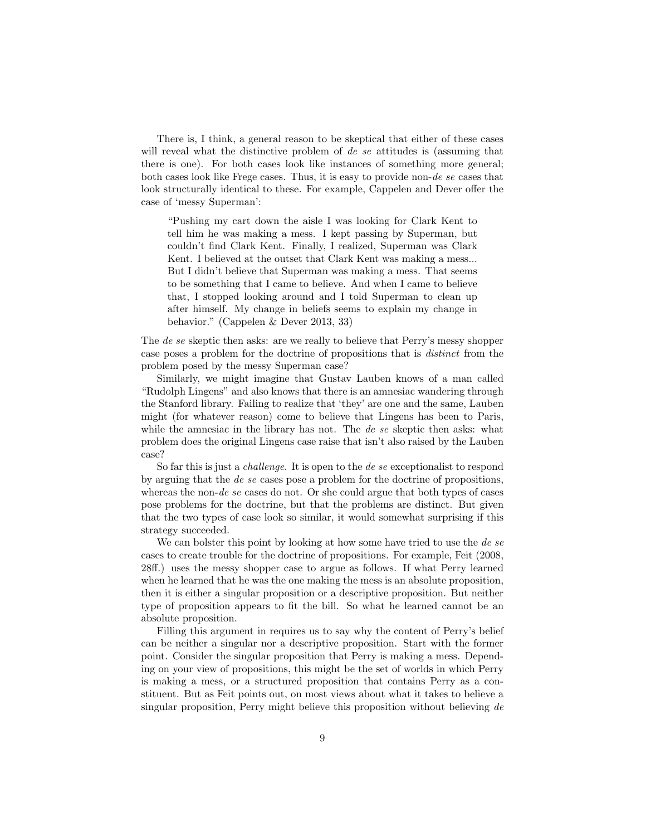There is, I think, a general reason to be skeptical that either of these cases will reveal what the distinctive problem of de se attitudes is (assuming that there is one). For both cases look like instances of something more general; both cases look like Frege cases. Thus, it is easy to provide non-de se cases that look structurally identical to these. For example, Cappelen and Dever offer the case of 'messy Superman':

"Pushing my cart down the aisle I was looking for Clark Kent to tell him he was making a mess. I kept passing by Superman, but couldn't find Clark Kent. Finally, I realized, Superman was Clark Kent. I believed at the outset that Clark Kent was making a mess... But I didn't believe that Superman was making a mess. That seems to be something that I came to believe. And when I came to believe that, I stopped looking around and I told Superman to clean up after himself. My change in beliefs seems to explain my change in behavior." (Cappelen & Dever 2013, 33)

The de se skeptic then asks: are we really to believe that Perry's messy shopper case poses a problem for the doctrine of propositions that is distinct from the problem posed by the messy Superman case?

Similarly, we might imagine that Gustav Lauben knows of a man called "Rudolph Lingens" and also knows that there is an amnesiac wandering through the Stanford library. Failing to realize that 'they' are one and the same, Lauben might (for whatever reason) come to believe that Lingens has been to Paris, while the amnesiac in the library has not. The de se skeptic then asks: what problem does the original Lingens case raise that isn't also raised by the Lauben case?

So far this is just a *challenge*. It is open to the *de se* exceptionalist to respond by arguing that the de se cases pose a problem for the doctrine of propositions, whereas the non-de se cases do not. Or she could argue that both types of cases pose problems for the doctrine, but that the problems are distinct. But given that the two types of case look so similar, it would somewhat surprising if this strategy succeeded.

We can bolster this point by looking at how some have tried to use the de se cases to create trouble for the doctrine of propositions. For example, Feit (2008, 28ff.) uses the messy shopper case to argue as follows. If what Perry learned when he learned that he was the one making the mess is an absolute proposition, then it is either a singular proposition or a descriptive proposition. But neither type of proposition appears to fit the bill. So what he learned cannot be an absolute proposition.

Filling this argument in requires us to say why the content of Perry's belief can be neither a singular nor a descriptive proposition. Start with the former point. Consider the singular proposition that Perry is making a mess. Depending on your view of propositions, this might be the set of worlds in which Perry is making a mess, or a structured proposition that contains Perry as a constituent. But as Feit points out, on most views about what it takes to believe a singular proposition, Perry might believe this proposition without believing de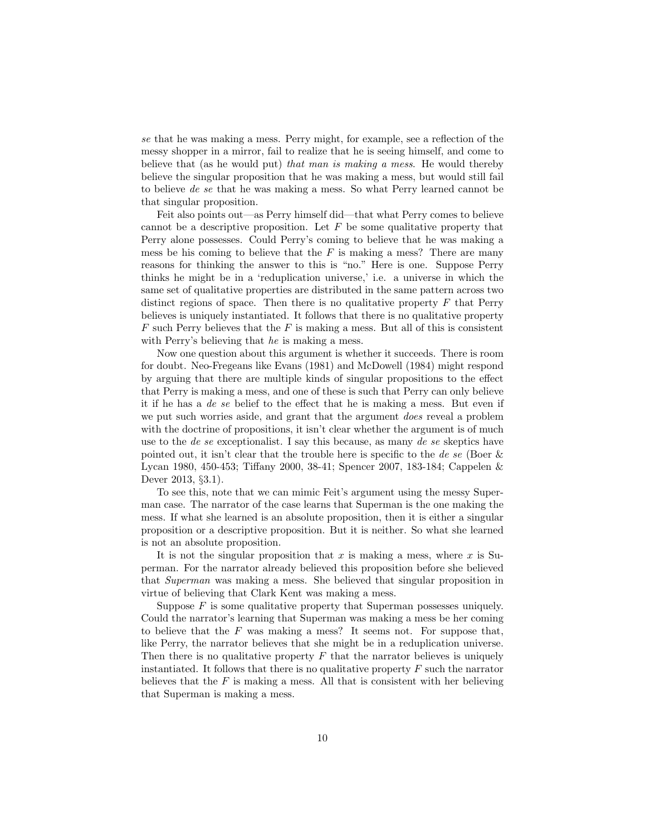se that he was making a mess. Perry might, for example, see a reflection of the messy shopper in a mirror, fail to realize that he is seeing himself, and come to believe that (as he would put) that man is making a mess. He would thereby believe the singular proposition that he was making a mess, but would still fail to believe de se that he was making a mess. So what Perry learned cannot be that singular proposition.

Feit also points out—as Perry himself did—that what Perry comes to believe cannot be a descriptive proposition. Let  $F$  be some qualitative property that Perry alone possesses. Could Perry's coming to believe that he was making a mess be his coming to believe that the  $F$  is making a mess? There are many reasons for thinking the answer to this is "no." Here is one. Suppose Perry thinks he might be in a 'reduplication universe,' i.e. a universe in which the same set of qualitative properties are distributed in the same pattern across two distinct regions of space. Then there is no qualitative property  $F$  that Perry believes is uniquely instantiated. It follows that there is no qualitative property F such Perry believes that the F is making a mess. But all of this is consistent with Perry's believing that he is making a mess.

Now one question about this argument is whether it succeeds. There is room for doubt. Neo-Fregeans like Evans (1981) and McDowell (1984) might respond by arguing that there are multiple kinds of singular propositions to the effect that Perry is making a mess, and one of these is such that Perry can only believe it if he has a de se belief to the effect that he is making a mess. But even if we put such worries aside, and grant that the argument *does* reveal a problem with the doctrine of propositions, it isn't clear whether the argument is of much use to the de se exceptionalist. I say this because, as many de se skeptics have pointed out, it isn't clear that the trouble here is specific to the de se (Boer  $\&$ Lycan 1980, 450-453; Tiffany 2000, 38-41; Spencer 2007, 183-184; Cappelen & Dever 2013, §3.1).

To see this, note that we can mimic Feit's argument using the messy Superman case. The narrator of the case learns that Superman is the one making the mess. If what she learned is an absolute proposition, then it is either a singular proposition or a descriptive proposition. But it is neither. So what she learned is not an absolute proposition.

It is not the singular proposition that  $x$  is making a mess, where  $x$  is Superman. For the narrator already believed this proposition before she believed that Superman was making a mess. She believed that singular proposition in virtue of believing that Clark Kent was making a mess.

Suppose  $F$  is some qualitative property that Superman possesses uniquely. Could the narrator's learning that Superman was making a mess be her coming to believe that the  $F$  was making a mess? It seems not. For suppose that, like Perry, the narrator believes that she might be in a reduplication universe. Then there is no qualitative property  $F$  that the narrator believes is uniquely instantiated. It follows that there is no qualitative property  $F$  such the narrator believes that the  $F$  is making a mess. All that is consistent with her believing that Superman is making a mess.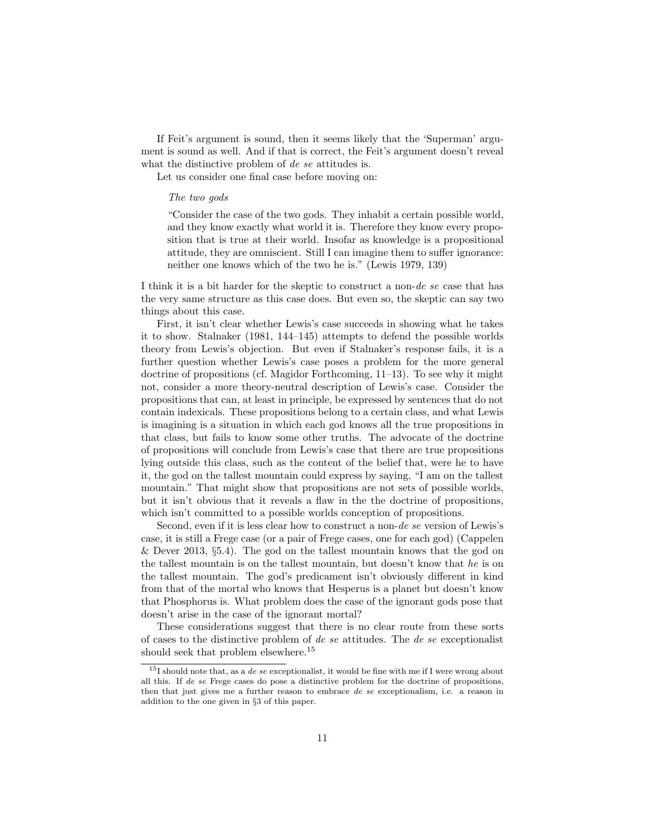If Feit's argument is sound, then it seems likely that the 'Superman' argument is sound as well. And if that is correct, the Feit's argument doesn't reveal what the distinctive problem of de se attitudes is.

Let us consider one final case before moving on:

### The two gods

"Consider the case of the two gods. They inhabit a certain possible world, and they know exactly what world it is. Therefore they know every proposition that is true at their world. Insofar as knowledge is a propositional attitude, they are omniscient. Still I can imagine them to suffer ignorance: neither one knows which of the two he is." (Lewis 1979, 139)

I think it is a bit harder for the skeptic to construct a non-de se case that has the very same structure as this case does. But even so, the skeptic can say two things about this case.

First, it isn't clear whether Lewis's case succeeds in showing what he takes it to show. Stalnaker (1981, 144–145) attempts to defend the possible worlds theory from Lewis's objection. But even if Stalnaker's response fails, it is a further question whether Lewis's case poses a problem for the more general doctrine of propositions (cf. Magidor Forthcoming, 11–13). To see why it might not, consider a more theory-neutral description of Lewis's case. Consider the propositions that can, at least in principle, be expressed by sentences that do not contain indexicals. These propositions belong to a certain class, and what Lewis is imagining is a situation in which each god knows all the true propositions in that class, but fails to know some other truths. The advocate of the doctrine of propositions will conclude from Lewis's case that there are true propositions lying outside this class, such as the content of the belief that, were he to have it, the god on the tallest mountain could express by saying, "I am on the tallest mountain." That might show that propositions are not sets of possible worlds, but it isn't obvious that it reveals a flaw in the the doctrine of propositions, which isn't committed to a possible worlds conception of propositions.

Second, even if it is less clear how to construct a non-de se version of Lewis's case, it is still a Frege case (or a pair of Frege cases, one for each god) (Cappelen & Dever 2013, §5.4). The god on the tallest mountain knows that the god on the tallest mountain is on the tallest mountain, but doesn't know that he is on the tallest mountain. The god's predicament isn't obviously different in kind from that of the mortal who knows that Hesperus is a planet but doesn't know that Phosphorus is. What problem does the case of the ignorant gods pose that doesn't arise in the case of the ignorant mortal?

These considerations suggest that there is no clear route from these sorts of cases to the distinctive problem of de se attitudes. The de se exceptionalist should seek that problem elsewhere.<sup>15</sup>

 $15I$  should note that, as a *de se* exceptionalist, it would be fine with me if I were wrong about all this. If de se Frege cases do pose a distinctive problem for the doctrine of propositions, then that just gives me a further reason to embrace de se exceptionalism, i.e. a reason in addition to the one given in §3 of this paper.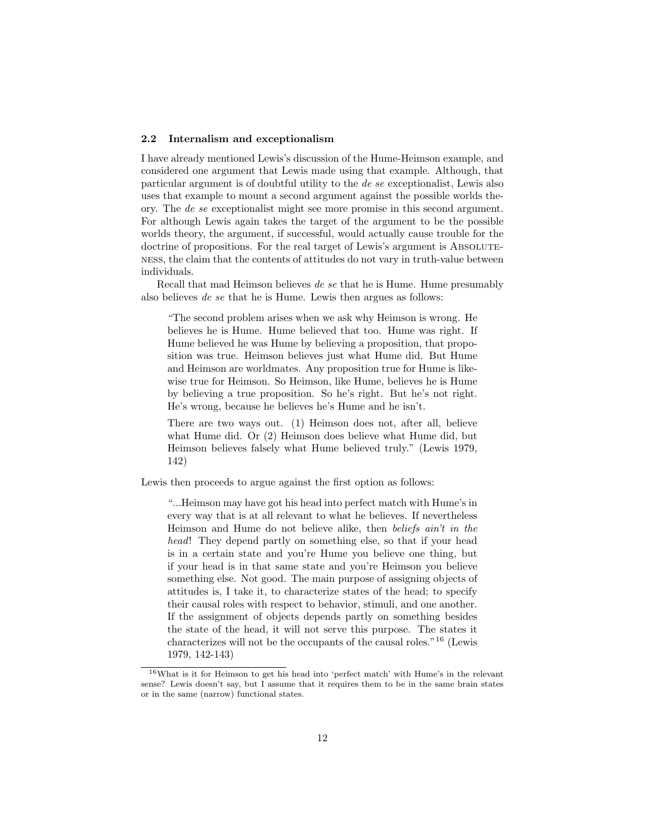#### 2.2 Internalism and exceptionalism

I have already mentioned Lewis's discussion of the Hume-Heimson example, and considered one argument that Lewis made using that example. Although, that particular argument is of doubtful utility to the de se exceptionalist, Lewis also uses that example to mount a second argument against the possible worlds theory. The de se exceptionalist might see more promise in this second argument. For although Lewis again takes the target of the argument to be the possible worlds theory, the argument, if successful, would actually cause trouble for the doctrine of propositions. For the real target of Lewis's argument is ABSOLUTEness, the claim that the contents of attitudes do not vary in truth-value between individuals.

Recall that mad Heimson believes de se that he is Hume. Hume presumably also believes de se that he is Hume. Lewis then argues as follows:

"The second problem arises when we ask why Heimson is wrong. He believes he is Hume. Hume believed that too. Hume was right. If Hume believed he was Hume by believing a proposition, that proposition was true. Heimson believes just what Hume did. But Hume and Heimson are worldmates. Any proposition true for Hume is likewise true for Heimson. So Heimson, like Hume, believes he is Hume by believing a true proposition. So he's right. But he's not right. He's wrong, because he believes he's Hume and he isn't.

There are two ways out. (1) Heimson does not, after all, believe what Hume did. Or (2) Heimson does believe what Hume did, but Heimson believes falsely what Hume believed truly." (Lewis 1979, 142)

Lewis then proceeds to argue against the first option as follows:

"...Heimson may have got his head into perfect match with Hume's in every way that is at all relevant to what he believes. If nevertheless Heimson and Hume do not believe alike, then beliefs ain't in the head! They depend partly on something else, so that if your head is in a certain state and you're Hume you believe one thing, but if your head is in that same state and you're Heimson you believe something else. Not good. The main purpose of assigning objects of attitudes is, I take it, to characterize states of the head; to specify their causal roles with respect to behavior, stimuli, and one another. If the assignment of objects depends partly on something besides the state of the head, it will not serve this purpose. The states it characterizes will not be the occupants of the causal roles."<sup>16</sup> (Lewis 1979, 142-143)

<sup>16</sup>What is it for Heimson to get his head into 'perfect match' with Hume's in the relevant sense? Lewis doesn't say, but I assume that it requires them to be in the same brain states or in the same (narrow) functional states.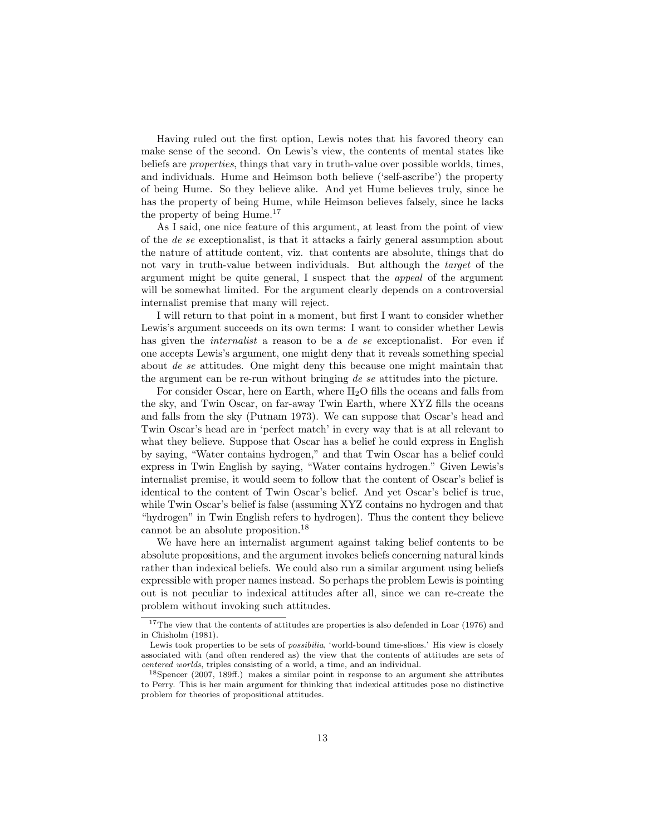Having ruled out the first option, Lewis notes that his favored theory can make sense of the second. On Lewis's view, the contents of mental states like beliefs are properties, things that vary in truth-value over possible worlds, times, and individuals. Hume and Heimson both believe ('self-ascribe') the property of being Hume. So they believe alike. And yet Hume believes truly, since he has the property of being Hume, while Heimson believes falsely, since he lacks the property of being Hume.<sup>17</sup>

As I said, one nice feature of this argument, at least from the point of view of the de se exceptionalist, is that it attacks a fairly general assumption about the nature of attitude content, viz. that contents are absolute, things that do not vary in truth-value between individuals. But although the target of the argument might be quite general, I suspect that the appeal of the argument will be somewhat limited. For the argument clearly depends on a controversial internalist premise that many will reject.

I will return to that point in a moment, but first I want to consider whether Lewis's argument succeeds on its own terms: I want to consider whether Lewis has given the *internalist* a reason to be a *de se* exceptionalist. For even if one accepts Lewis's argument, one might deny that it reveals something special about de se attitudes. One might deny this because one might maintain that the argument can be re-run without bringing de se attitudes into the picture.

For consider Oscar, here on Earth, where  $H_2O$  fills the oceans and falls from the sky, and Twin Oscar, on far-away Twin Earth, where XYZ fills the oceans and falls from the sky (Putnam 1973). We can suppose that Oscar's head and Twin Oscar's head are in 'perfect match' in every way that is at all relevant to what they believe. Suppose that Oscar has a belief he could express in English by saying, "Water contains hydrogen," and that Twin Oscar has a belief could express in Twin English by saying, "Water contains hydrogen." Given Lewis's internalist premise, it would seem to follow that the content of Oscar's belief is identical to the content of Twin Oscar's belief. And yet Oscar's belief is true, while Twin Oscar's belief is false (assuming XYZ contains no hydrogen and that "hydrogen" in Twin English refers to hydrogen). Thus the content they believe cannot be an absolute proposition.<sup>18</sup>

We have here an internalist argument against taking belief contents to be absolute propositions, and the argument invokes beliefs concerning natural kinds rather than indexical beliefs. We could also run a similar argument using beliefs expressible with proper names instead. So perhaps the problem Lewis is pointing out is not peculiar to indexical attitudes after all, since we can re-create the problem without invoking such attitudes.

<sup>&</sup>lt;sup>17</sup>The view that the contents of attitudes are properties is also defended in Loar (1976) and in Chisholm (1981).

Lewis took properties to be sets of possibilia, 'world-bound time-slices.' His view is closely associated with (and often rendered as) the view that the contents of attitudes are sets of centered worlds, triples consisting of a world, a time, and an individual.

<sup>18</sup>Spencer (2007, 189ff.) makes a similar point in response to an argument she attributes to Perry. This is her main argument for thinking that indexical attitudes pose no distinctive problem for theories of propositional attitudes.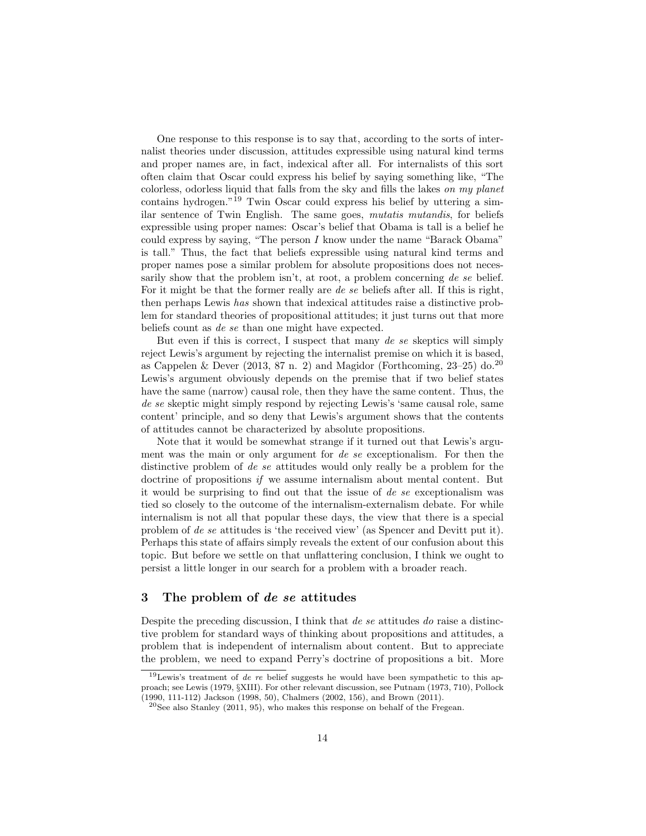One response to this response is to say that, according to the sorts of internalist theories under discussion, attitudes expressible using natural kind terms and proper names are, in fact, indexical after all. For internalists of this sort often claim that Oscar could express his belief by saying something like, "The colorless, odorless liquid that falls from the sky and fills the lakes on my planet contains hydrogen."<sup>19</sup> Twin Oscar could express his belief by uttering a similar sentence of Twin English. The same goes, mutatis mutandis, for beliefs expressible using proper names: Oscar's belief that Obama is tall is a belief he could express by saying, "The person I know under the name "Barack Obama" is tall." Thus, the fact that beliefs expressible using natural kind terms and proper names pose a similar problem for absolute propositions does not necessarily show that the problem isn't, at root, a problem concerning de se belief. For it might be that the former really are de se beliefs after all. If this is right, then perhaps Lewis has shown that indexical attitudes raise a distinctive problem for standard theories of propositional attitudes; it just turns out that more beliefs count as de se than one might have expected.

But even if this is correct, I suspect that many de se skeptics will simply reject Lewis's argument by rejecting the internalist premise on which it is based, as Cappelen & Dever (2013, 87 n. 2) and Magidor (Forthcoming, 23–25) do.<sup>20</sup> Lewis's argument obviously depends on the premise that if two belief states have the same (narrow) causal role, then they have the same content. Thus, the de se skeptic might simply respond by rejecting Lewis's 'same causal role, same content' principle, and so deny that Lewis's argument shows that the contents of attitudes cannot be characterized by absolute propositions.

Note that it would be somewhat strange if it turned out that Lewis's argument was the main or only argument for de se exceptionalism. For then the distinctive problem of de se attitudes would only really be a problem for the doctrine of propositions if we assume internalism about mental content. But it would be surprising to find out that the issue of de se exceptionalism was tied so closely to the outcome of the internalism-externalism debate. For while internalism is not all that popular these days, the view that there is a special problem of de se attitudes is 'the received view' (as Spencer and Devitt put it). Perhaps this state of affairs simply reveals the extent of our confusion about this topic. But before we settle on that unflattering conclusion, I think we ought to persist a little longer in our search for a problem with a broader reach.

# 3 The problem of de se attitudes

Despite the preceding discussion, I think that de se attitudes do raise a distinctive problem for standard ways of thinking about propositions and attitudes, a problem that is independent of internalism about content. But to appreciate the problem, we need to expand Perry's doctrine of propositions a bit. More

<sup>&</sup>lt;sup>19</sup>Lewis's treatment of de re belief suggests he would have been sympathetic to this approach; see Lewis (1979, §XIII). For other relevant discussion, see Putnam (1973, 710), Pollock (1990, 111-112) Jackson (1998, 50), Chalmers (2002, 156), and Brown (2011).

 $20$ See also Stanley (2011, 95), who makes this response on behalf of the Fregean.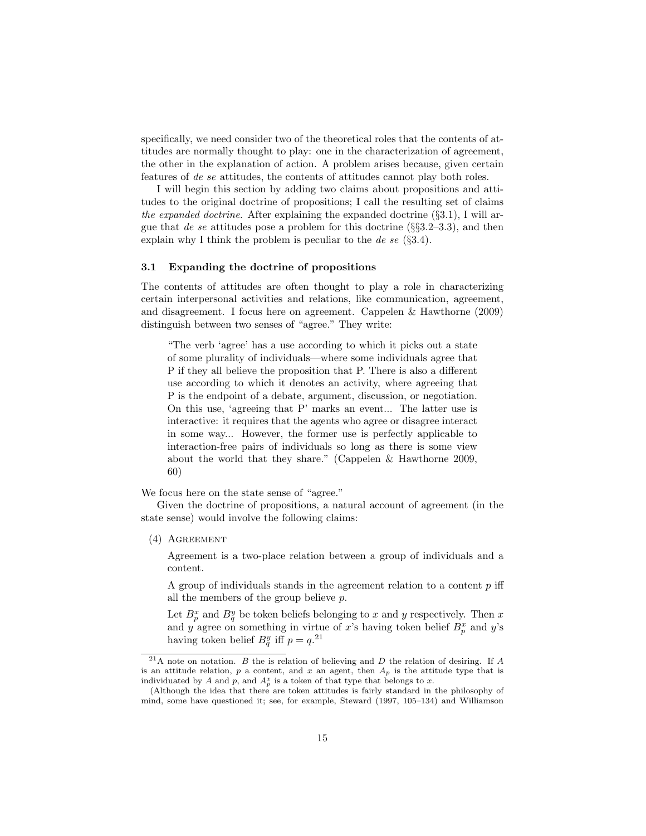specifically, we need consider two of the theoretical roles that the contents of attitudes are normally thought to play: one in the characterization of agreement, the other in the explanation of action. A problem arises because, given certain features of de se attitudes, the contents of attitudes cannot play both roles.

I will begin this section by adding two claims about propositions and attitudes to the original doctrine of propositions; I call the resulting set of claims the expanded doctrine. After explaining the expanded doctrine  $(\S 3.1)$ , I will argue that de se attitudes pose a problem for this doctrine  $(\S_{\S}3.2-3.3)$ , and then explain why I think the problem is peculiar to the de se  $(\S 3.4)$ .

### 3.1 Expanding the doctrine of propositions

The contents of attitudes are often thought to play a role in characterizing certain interpersonal activities and relations, like communication, agreement, and disagreement. I focus here on agreement. Cappelen & Hawthorne (2009) distinguish between two senses of "agree." They write:

"The verb 'agree' has a use according to which it picks out a state of some plurality of individuals—where some individuals agree that P if they all believe the proposition that P. There is also a different use according to which it denotes an activity, where agreeing that P is the endpoint of a debate, argument, discussion, or negotiation. On this use, 'agreeing that P' marks an event... The latter use is interactive: it requires that the agents who agree or disagree interact in some way... However, the former use is perfectly applicable to interaction-free pairs of individuals so long as there is some view about the world that they share." (Cappelen & Hawthorne 2009, 60)

We focus here on the state sense of "agree."

Given the doctrine of propositions, a natural account of agreement (in the state sense) would involve the following claims:

(4) Agreement

Agreement is a two-place relation between a group of individuals and a content.

A group of individuals stands in the agreement relation to a content  $p$  iff all the members of the group believe  $p$ .

Let  $B_p^x$  and  $B_q^y$  be token beliefs belonging to x and y respectively. Then x and y agree on something in virtue of x's having token belief  $B_p^x$  and y's having token belief  $B_q^y$  iff  $p = q^{21}$ 

 $21A$  note on notation. B the is relation of believing and D the relation of desiring. If A is an attitude relation,  $p$  a content, and  $x$  an agent, then  $A_p$  is the attitude type that is individuated by A and p, and  $A_p^x$  is a token of that type that belongs to x.

<sup>(</sup>Although the idea that there are token attitudes is fairly standard in the philosophy of mind, some have questioned it; see, for example, Steward (1997, 105–134) and Williamson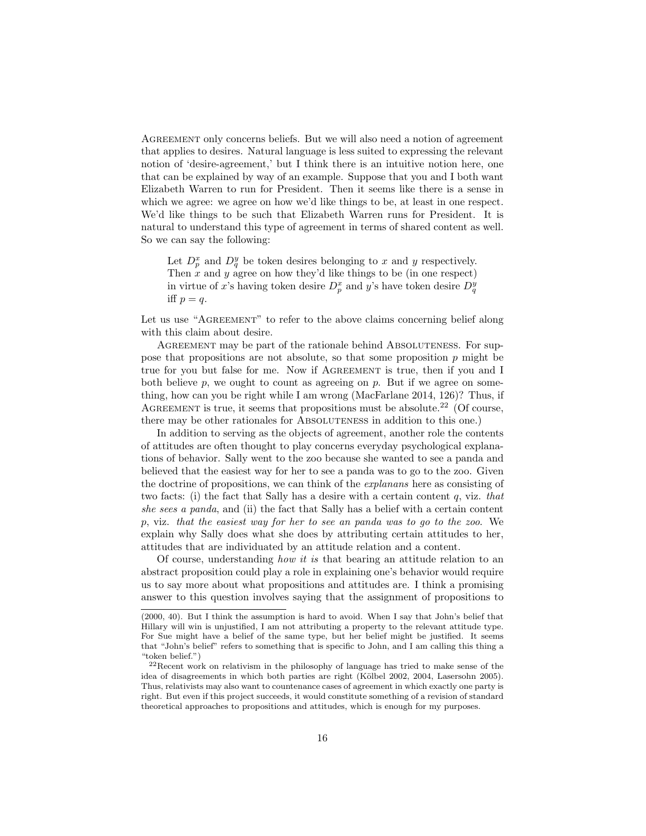AGREEMENT only concerns beliefs. But we will also need a notion of agreement that applies to desires. Natural language is less suited to expressing the relevant notion of 'desire-agreement,' but I think there is an intuitive notion here, one that can be explained by way of an example. Suppose that you and I both want Elizabeth Warren to run for President. Then it seems like there is a sense in which we agree: we agree on how we'd like things to be, at least in one respect. We'd like things to be such that Elizabeth Warren runs for President. It is natural to understand this type of agreement in terms of shared content as well. So we can say the following:

Let  $D_p^x$  and  $D_q^y$  be token desires belonging to x and y respectively. Then  $x$  and  $y$  agree on how they'd like things to be (in one respect) in virtue of x's having token desire  $D_p^x$  and y's have token desire  $D_q^y$ iff  $p = q$ .

Let us use "AGREEMENT" to refer to the above claims concerning belief along with this claim about desire.

AGREEMENT may be part of the rationale behind ABSOLUTENESS. For suppose that propositions are not absolute, so that some proposition  $p$  might be true for you but false for me. Now if Agreement is true, then if you and I both believe  $p$ , we ought to count as agreeing on  $p$ . But if we agree on something, how can you be right while I am wrong (MacFarlane 2014, 126)? Thus, if AGREEMENT is true, it seems that propositions must be absolute.<sup>22</sup> (Of course, there may be other rationales for ABSOLUTENESS in addition to this one.)

In addition to serving as the objects of agreement, another role the contents of attitudes are often thought to play concerns everyday psychological explanations of behavior. Sally went to the zoo because she wanted to see a panda and believed that the easiest way for her to see a panda was to go to the zoo. Given the doctrine of propositions, we can think of the explanans here as consisting of two facts: (i) the fact that Sally has a desire with a certain content  $q$ , viz. that she sees a panda, and (ii) the fact that Sally has a belief with a certain content p, viz. that the easiest way for her to see an panda was to go to the zoo. We explain why Sally does what she does by attributing certain attitudes to her, attitudes that are individuated by an attitude relation and a content.

Of course, understanding how it is that bearing an attitude relation to an abstract proposition could play a role in explaining one's behavior would require us to say more about what propositions and attitudes are. I think a promising answer to this question involves saying that the assignment of propositions to

<sup>(2000, 40).</sup> But I think the assumption is hard to avoid. When I say that John's belief that Hillary will win is unjustified, I am not attributing a property to the relevant attitude type. For Sue might have a belief of the same type, but her belief might be justified. It seems that "John's belief" refers to something that is specific to John, and I am calling this thing a "token belief.")

 $^{22}$ Recent work on relativism in the philosophy of language has tried to make sense of the idea of disagreements in which both parties are right (Kölbel 2002, 2004, Lasersohn 2005). Thus, relativists may also want to countenance cases of agreement in which exactly one party is right. But even if this project succeeds, it would constitute something of a revision of standard theoretical approaches to propositions and attitudes, which is enough for my purposes.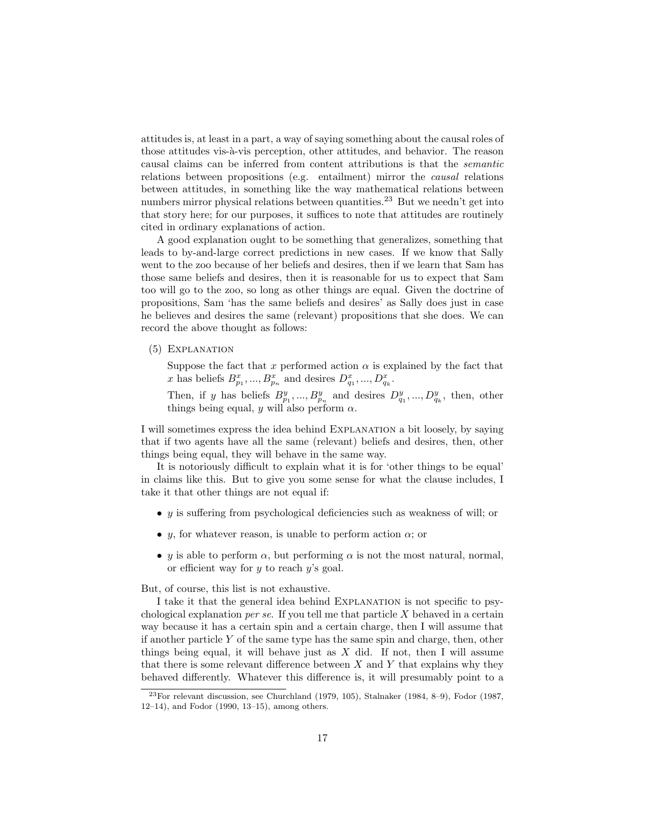attitudes is, at least in a part, a way of saying something about the causal roles of those attitudes vis-à-vis perception, other attitudes, and behavior. The reason causal claims can be inferred from content attributions is that the semantic relations between propositions (e.g. entailment) mirror the causal relations between attitudes, in something like the way mathematical relations between numbers mirror physical relations between quantities.<sup>23</sup> But we needn't get into that story here; for our purposes, it suffices to note that attitudes are routinely cited in ordinary explanations of action.

A good explanation ought to be something that generalizes, something that leads to by-and-large correct predictions in new cases. If we know that Sally went to the zoo because of her beliefs and desires, then if we learn that Sam has those same beliefs and desires, then it is reasonable for us to expect that Sam too will go to the zoo, so long as other things are equal. Given the doctrine of propositions, Sam 'has the same beliefs and desires' as Sally does just in case he believes and desires the same (relevant) propositions that she does. We can record the above thought as follows:

(5) Explanation

Suppose the fact that x performed action  $\alpha$  is explained by the fact that x has beliefs  $B_{p_1}^x, ..., B_{p_n}^x$  and desires  $D_{q_1}^x, ..., D_{q_k}^x$ .

Then, if y has beliefs  $B_{p_1}^y, ..., B_{p_n}^y$  and desires  $D_{q_1}^y, ..., D_{q_k}^y$ , then, other things being equal, y will also perform  $\alpha$ .

I will sometimes express the idea behind Explanation a bit loosely, by saying that if two agents have all the same (relevant) beliefs and desires, then, other things being equal, they will behave in the same way.

It is notoriously difficult to explain what it is for 'other things to be equal' in claims like this. But to give you some sense for what the clause includes, I take it that other things are not equal if:

- $y$  is suffering from psychological deficiencies such as weakness of will; or
- $y$ , for whatever reason, is unable to perform action  $\alpha$ ; or
- y is able to perform  $\alpha$ , but performing  $\alpha$  is not the most natural, normal, or efficient way for  $y$  to reach  $y$ 's goal.

But, of course, this list is not exhaustive.

I take it that the general idea behind Explanation is not specific to psychological explanation  $per$  se. If you tell me that particle  $X$  behaved in a certain way because it has a certain spin and a certain charge, then I will assume that if another particle  $Y$  of the same type has the same spin and charge, then, other things being equal, it will behave just as  $X$  did. If not, then I will assume that there is some relevant difference between  $X$  and  $Y$  that explains why they behaved differently. Whatever this difference is, it will presumably point to a

<sup>23</sup>For relevant discussion, see Churchland (1979, 105), Stalnaker (1984, 8–9), Fodor (1987, 12–14), and Fodor (1990, 13–15), among others.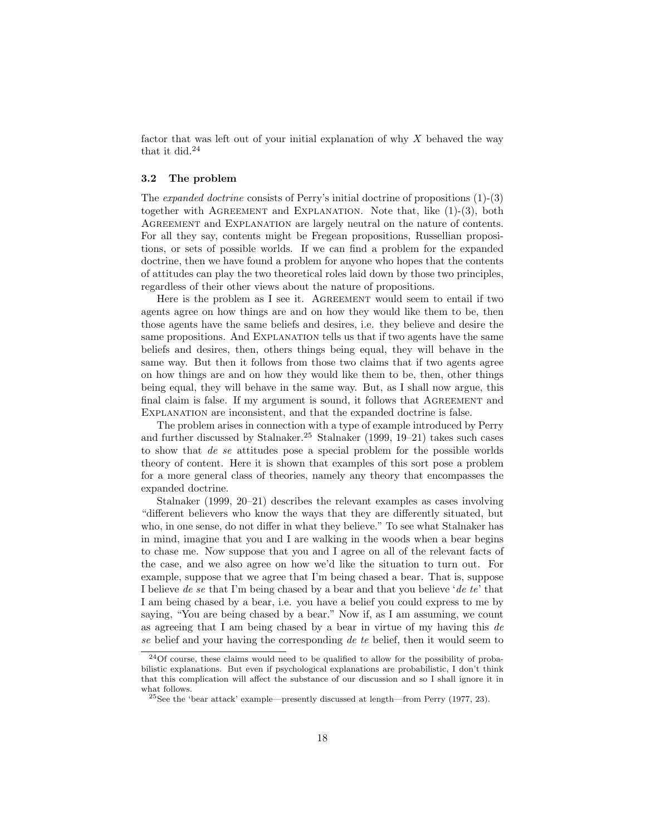factor that was left out of your initial explanation of why X behaved the way that it did.<sup>24</sup>

### 3.2 The problem

The *expanded doctrine* consists of Perry's initial doctrine of propositions  $(1)-(3)$ together with AGREEMENT and EXPLANATION. Note that, like  $(1)-(3)$ , both Agreement and Explanation are largely neutral on the nature of contents. For all they say, contents might be Fregean propositions, Russellian propositions, or sets of possible worlds. If we can find a problem for the expanded doctrine, then we have found a problem for anyone who hopes that the contents of attitudes can play the two theoretical roles laid down by those two principles, regardless of their other views about the nature of propositions.

Here is the problem as I see it. AGREEMENT would seem to entail if two agents agree on how things are and on how they would like them to be, then those agents have the same beliefs and desires, i.e. they believe and desire the same propositions. And Explanation tells us that if two agents have the same beliefs and desires, then, others things being equal, they will behave in the same way. But then it follows from those two claims that if two agents agree on how things are and on how they would like them to be, then, other things being equal, they will behave in the same way. But, as I shall now argue, this final claim is false. If my argument is sound, it follows that AGREEMENT and Explanation are inconsistent, and that the expanded doctrine is false.

The problem arises in connection with a type of example introduced by Perry and further discussed by Stalnaker.<sup>25</sup> Stalnaker (1999, 19–21) takes such cases to show that de se attitudes pose a special problem for the possible worlds theory of content. Here it is shown that examples of this sort pose a problem for a more general class of theories, namely any theory that encompasses the expanded doctrine.

Stalnaker (1999, 20–21) describes the relevant examples as cases involving "different believers who know the ways that they are differently situated, but who, in one sense, do not differ in what they believe." To see what Stalnaker has in mind, imagine that you and I are walking in the woods when a bear begins to chase me. Now suppose that you and I agree on all of the relevant facts of the case, and we also agree on how we'd like the situation to turn out. For example, suppose that we agree that I'm being chased a bear. That is, suppose I believe de se that I'm being chased by a bear and that you believe 'de te' that I am being chased by a bear, i.e. you have a belief you could express to me by saying, "You are being chased by a bear." Now if, as I am assuming, we count as agreeing that I am being chased by a bear in virtue of my having this de se belief and your having the corresponding de te belief, then it would seem to

<sup>24</sup>Of course, these claims would need to be qualified to allow for the possibility of probabilistic explanations. But even if psychological explanations are probabilistic, I don't think that this complication will affect the substance of our discussion and so I shall ignore it in what follows.

<sup>25</sup>See the 'bear attack' example—presently discussed at length—from Perry (1977, 23).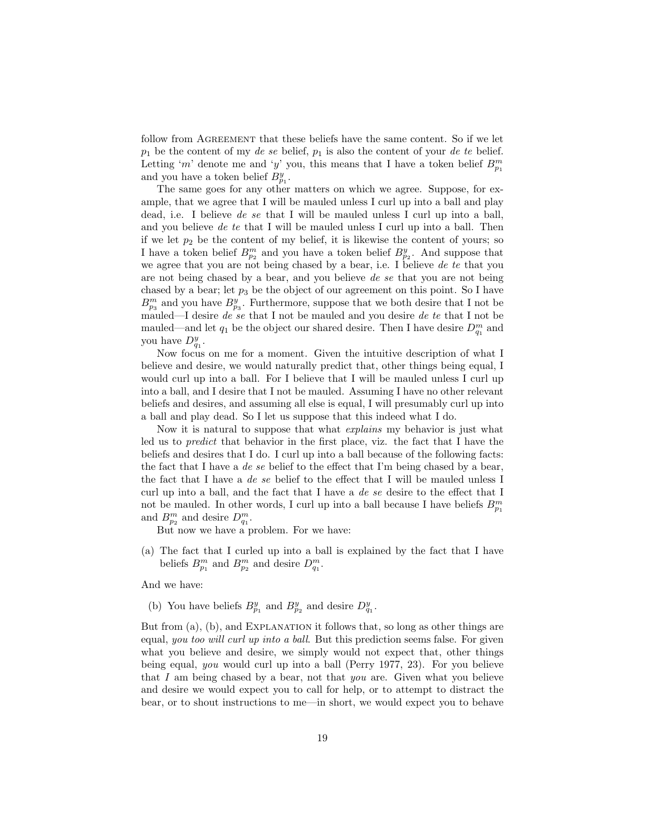follow from Agreement that these beliefs have the same content. So if we let  $p_1$  be the content of my de se belief,  $p_1$  is also the content of your de te belief. Letting 'm' denote me and 'y' you, this means that I have a token belief  $B_{p_1}^m$ and you have a token belief  $B_{p_1}^y$ .

The same goes for any other matters on which we agree. Suppose, for example, that we agree that I will be mauled unless I curl up into a ball and play dead, i.e. I believe de se that I will be mauled unless I curl up into a ball, and you believe de te that I will be mauled unless I curl up into a ball. Then if we let  $p_2$  be the content of my belief, it is likewise the content of yours; so I have a token belief  $B_{p_2}^m$  and you have a token belief  $B_{p_2}^y$ . And suppose that we agree that you are not being chased by a bear, i.e. I believe de te that you are not being chased by a bear, and you believe de se that you are not being chased by a bear; let  $p_3$  be the object of our agreement on this point. So I have  $B_{p_3}^m$  and you have  $B_{p_3}^y$ . Furthermore, suppose that we both desire that I not be mauled—I desire de se that I not be mauled and you desire de te that I not be mauled—and let  $q_1$  be the object our shared desire. Then I have desire  $D_{q_1}^m$  and you have  $D_{q_1}^y$ .

Now focus on me for a moment. Given the intuitive description of what I believe and desire, we would naturally predict that, other things being equal, I would curl up into a ball. For I believe that I will be mauled unless I curl up into a ball, and I desire that I not be mauled. Assuming I have no other relevant beliefs and desires, and assuming all else is equal, I will presumably curl up into a ball and play dead. So I let us suppose that this indeed what I do.

Now it is natural to suppose that what *explains* my behavior is just what led us to predict that behavior in the first place, viz. the fact that I have the beliefs and desires that I do. I curl up into a ball because of the following facts: the fact that I have a de se belief to the effect that I'm being chased by a bear, the fact that I have a de se belief to the effect that I will be mauled unless I curl up into a ball, and the fact that I have a de se desire to the effect that I not be mauled. In other words, I curl up into a ball because I have beliefs  $B_{p_1}^m$ and  $B_{p_2}^m$  and desire  $D_{q_1}^m$ .

But now we have a problem. For we have:

(a) The fact that I curled up into a ball is explained by the fact that I have beliefs  $B_{p_1}^m$  and  $B_{p_2}^m$  and desire  $D_{q_1}^m$ .

And we have:

(b) You have beliefs  $B_{p_1}^y$  and  $B_{p_2}^y$  and desire  $D_{q_1}^y$ .

But from  $(a)$ ,  $(b)$ , and EXPLANATION it follows that, so long as other things are equal, you too will curl up into a ball. But this prediction seems false. For given what you believe and desire, we simply would not expect that, other things being equal, you would curl up into a ball (Perry 1977, 23). For you believe that I am being chased by a bear, not that you are. Given what you believe and desire we would expect you to call for help, or to attempt to distract the bear, or to shout instructions to me—in short, we would expect you to behave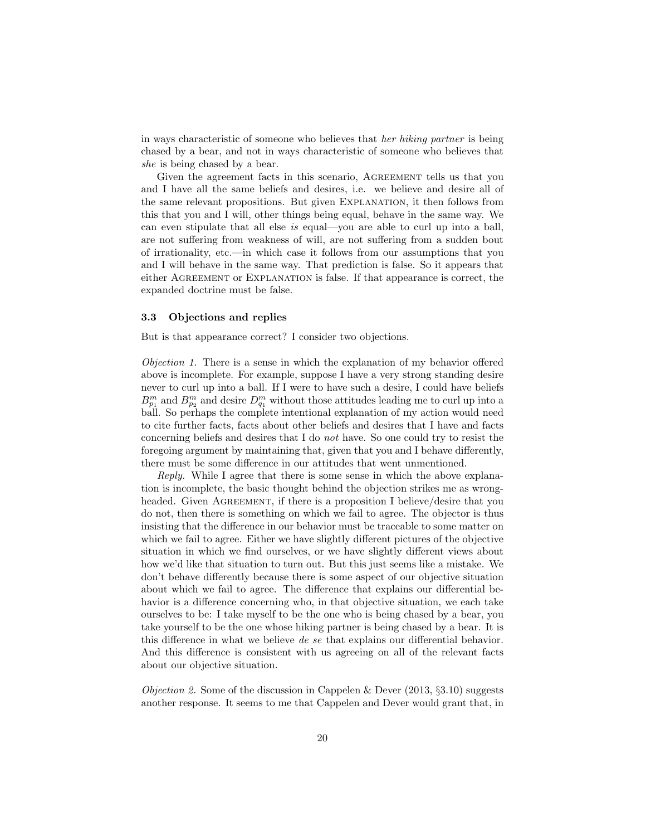in ways characteristic of someone who believes that her hiking partner is being chased by a bear, and not in ways characteristic of someone who believes that she is being chased by a bear.

Given the agreement facts in this scenario, AGREEMENT tells us that you and I have all the same beliefs and desires, i.e. we believe and desire all of the same relevant propositions. But given EXPLANATION, it then follows from this that you and I will, other things being equal, behave in the same way. We can even stipulate that all else is equal—you are able to curl up into a ball, are not suffering from weakness of will, are not suffering from a sudden bout of irrationality, etc.—in which case it follows from our assumptions that you and I will behave in the same way. That prediction is false. So it appears that either Agreement or Explanation is false. If that appearance is correct, the expanded doctrine must be false.

#### 3.3 Objections and replies

But is that appearance correct? I consider two objections.

Objection 1. There is a sense in which the explanation of my behavior offered above is incomplete. For example, suppose I have a very strong standing desire never to curl up into a ball. If I were to have such a desire, I could have beliefs  $B_{p_1}^m$  and  $B_{p_2}^m$  and desire  $D_{q_1}^m$  without those attitudes leading me to curl up into a ball. So perhaps the complete intentional explanation of my action would need to cite further facts, facts about other beliefs and desires that I have and facts concerning beliefs and desires that I do not have. So one could try to resist the foregoing argument by maintaining that, given that you and I behave differently, there must be some difference in our attitudes that went unmentioned.

Reply. While I agree that there is some sense in which the above explanation is incomplete, the basic thought behind the objection strikes me as wrongheaded. Given AGREEMENT, if there is a proposition I believe/desire that you do not, then there is something on which we fail to agree. The objector is thus insisting that the difference in our behavior must be traceable to some matter on which we fail to agree. Either we have slightly different pictures of the objective situation in which we find ourselves, or we have slightly different views about how we'd like that situation to turn out. But this just seems like a mistake. We don't behave differently because there is some aspect of our objective situation about which we fail to agree. The difference that explains our differential behavior is a difference concerning who, in that objective situation, we each take ourselves to be: I take myself to be the one who is being chased by a bear, you take yourself to be the one whose hiking partner is being chased by a bear. It is this difference in what we believe de se that explains our differential behavior. And this difference is consistent with us agreeing on all of the relevant facts about our objective situation.

*Objection 2.* Some of the discussion in Cappelen & Dever  $(2013, \S3.10)$  suggests another response. It seems to me that Cappelen and Dever would grant that, in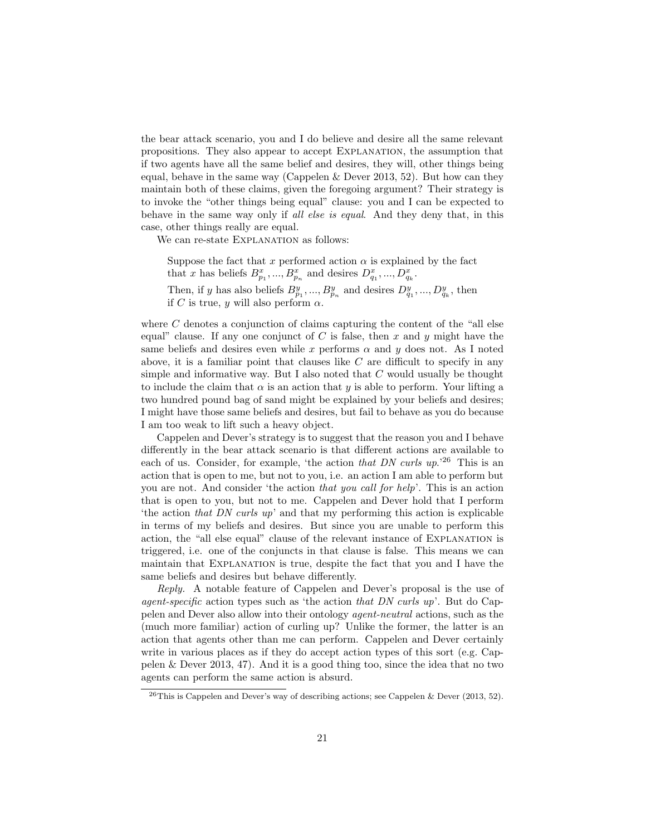the bear attack scenario, you and I do believe and desire all the same relevant propositions. They also appear to accept Explanation, the assumption that if two agents have all the same belief and desires, they will, other things being equal, behave in the same way (Cappelen & Dever 2013, 52). But how can they maintain both of these claims, given the foregoing argument? Their strategy is to invoke the "other things being equal" clause: you and I can be expected to behave in the same way only if all else is equal. And they deny that, in this case, other things really are equal.

We can re-state EXPLANATION as follows:

Suppose the fact that x performed action  $\alpha$  is explained by the fact that x has beliefs  $B_{p_1}^x, ..., B_{p_n}^x$  and desires  $D_{q_1}^x, ..., D_{q_k}^x$ .

Then, if y has also beliefs  $B_{p_1}^y, ..., B_{p_n}^y$  and desires  $D_{q_1}^y, ..., D_{q_k}^y$ , then if C is true, y will also perform  $\alpha$ .

where  $C$  denotes a conjunction of claims capturing the content of the "all else equal" clause. If any one conjunct of  $C$  is false, then  $x$  and  $y$  might have the same beliefs and desires even while x performs  $\alpha$  and y does not. As I noted above, it is a familiar point that clauses like  $C$  are difficult to specify in any simple and informative way. But I also noted that  $C$  would usually be thought to include the claim that  $\alpha$  is an action that y is able to perform. Your lifting a two hundred pound bag of sand might be explained by your beliefs and desires; I might have those same beliefs and desires, but fail to behave as you do because I am too weak to lift such a heavy object.

Cappelen and Dever's strategy is to suggest that the reason you and I behave differently in the bear attack scenario is that different actions are available to each of us. Consider, for example, 'the action that DN curls up.'<sup>26</sup> This is an action that is open to me, but not to you, i.e. an action I am able to perform but you are not. And consider 'the action that you call for help'. This is an action that is open to you, but not to me. Cappelen and Dever hold that I perform 'the action that DN curls up' and that my performing this action is explicable in terms of my beliefs and desires. But since you are unable to perform this action, the "all else equal" clause of the relevant instance of EXPLANATION is triggered, i.e. one of the conjuncts in that clause is false. This means we can maintain that Explanation is true, despite the fact that you and I have the same beliefs and desires but behave differently.

Reply. A notable feature of Cappelen and Dever's proposal is the use of *agent-specific* action types such as 'the action that DN curls up'. But do Cappelen and Dever also allow into their ontology agent-neutral actions, such as the (much more familiar) action of curling up? Unlike the former, the latter is an action that agents other than me can perform. Cappelen and Dever certainly write in various places as if they do accept action types of this sort (e.g. Cappelen & Dever 2013, 47). And it is a good thing too, since the idea that no two agents can perform the same action is absurd.

<sup>26</sup>This is Cappelen and Dever's way of describing actions; see Cappelen & Dever (2013, 52).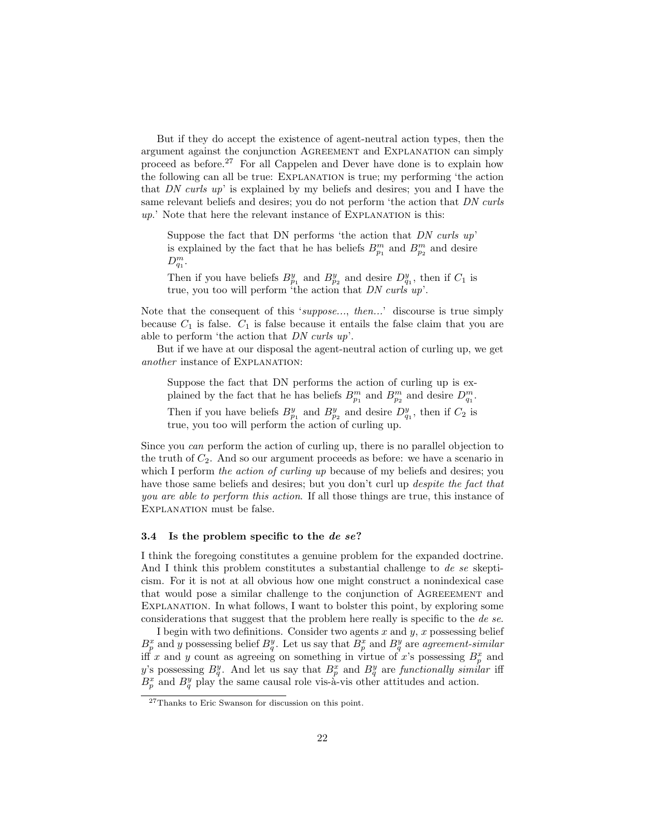But if they do accept the existence of agent-neutral action types, then the argument against the conjunction Agreement and Explanation can simply proceed as before.<sup>27</sup> For all Cappelen and Dever have done is to explain how the following can all be true: Explanation is true; my performing 'the action that DN curls up' is explained by my beliefs and desires; you and I have the same relevant beliefs and desires; you do not perform 'the action that DN curls  $up.$ ' Note that here the relevant instance of EXPLANATION is this:

Suppose the fact that DN performs 'the action that  $DN$  curls up' is explained by the fact that he has beliefs  $B_{p_1}^m$  and  $B_{p_2}^m$  and desire  $D_{q_1}^m$ .

Then if you have beliefs  $B_{p_1}^y$  and  $B_{p_2}^y$  and desire  $D_{q_1}^y$ , then if  $C_1$  is true, you too will perform 'the action that DN curls up'.

Note that the consequent of this 'suppose..., then...' discourse is true simply because  $C_1$  is false.  $C_1$  is false because it entails the false claim that you are able to perform 'the action that DN curls up'.

But if we have at our disposal the agent-neutral action of curling up, we get another instance of EXPLANATION:

Suppose the fact that DN performs the action of curling up is explained by the fact that he has beliefs  $B_{p_1}^m$  and  $B_{p_2}^m$  and desire  $D_{q_1}^m$ .

Then if you have beliefs  $B_{p_1}^y$  and  $B_{p_2}^y$  and desire  $D_{q_1}^y$ , then if  $C_2$  is true, you too will perform the action of curling up.

Since you *can* perform the action of curling up, there is no parallel objection to the truth of  $C_2$ . And so our argument proceeds as before: we have a scenario in which I perform the action of curling up because of my beliefs and desires; you have those same beliefs and desires; but you don't curl up *despite the fact that* you are able to perform this action. If all those things are true, this instance of Explanation must be false.

# 3.4 Is the problem specific to the de se?

I think the foregoing constitutes a genuine problem for the expanded doctrine. And I think this problem constitutes a substantial challenge to de se skepticism. For it is not at all obvious how one might construct a nonindexical case that would pose a similar challenge to the conjunction of Agreeement and Explanation. In what follows, I want to bolster this point, by exploring some considerations that suggest that the problem here really is specific to the de se.

I begin with two definitions. Consider two agents  $x$  and  $y$ ,  $x$  possessing belief  $B_p^x$  and y possessing belief  $B_q^y$ . Let us say that  $B_p^x$  and  $B_q^y$  are agreement-similar iff x and y count as agreeing on something in virtue of x's possessing  $B_p^x$  and y's possessing  $B_q^y$ . And let us say that  $B_p^x$  and  $B_q^y$  are functionally similar iff  $B_p^x$  and  $B_q^y$  play the same causal role vis- $\hat{a}$ -vis other attitudes and action.

<sup>27</sup>Thanks to Eric Swanson for discussion on this point.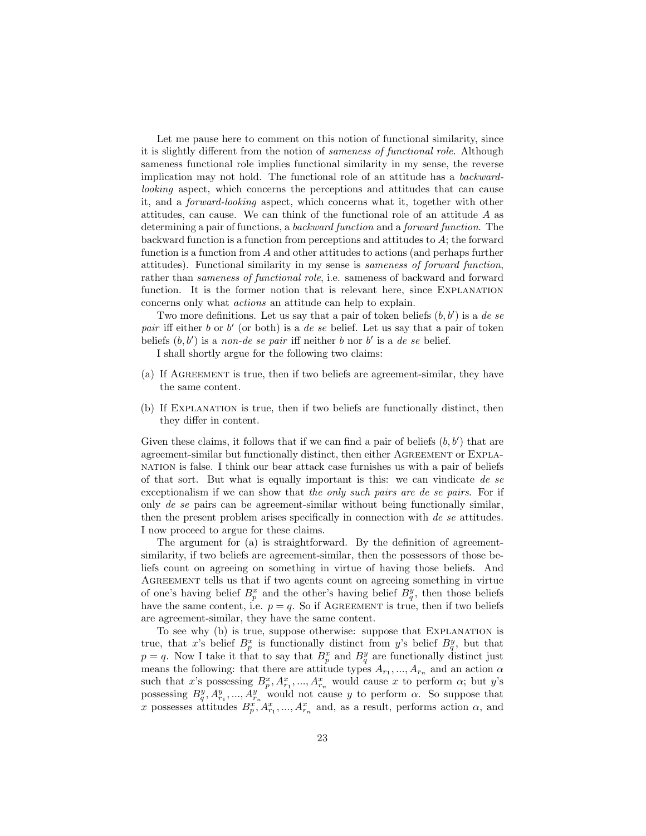Let me pause here to comment on this notion of functional similarity, since it is slightly different from the notion of sameness of functional role. Although sameness functional role implies functional similarity in my sense, the reverse implication may not hold. The functional role of an attitude has a backwardlooking aspect, which concerns the perceptions and attitudes that can cause it, and a forward-looking aspect, which concerns what it, together with other attitudes, can cause. We can think of the functional role of an attitude A as determining a pair of functions, a backward function and a forward function. The backward function is a function from perceptions and attitudes to  $A$ ; the forward function is a function from A and other attitudes to actions (and perhaps further attitudes). Functional similarity in my sense is sameness of forward function, rather than sameness of functional role, i.e. sameness of backward and forward function. It is the former notion that is relevant here, since EXPLANATION concerns only what actions an attitude can help to explain.

Two more definitions. Let us say that a pair of token beliefs  $(b, b')$  is a de se pair iff either  $b$  or  $b'$  (or both) is a de se belief. Let us say that a pair of token beliefs  $(b, b')$  is a non-de se pair iff neither b nor b' is a de se belief.

I shall shortly argue for the following two claims:

- (a) If Agreement is true, then if two beliefs are agreement-similar, they have the same content.
- (b) If Explanation is true, then if two beliefs are functionally distinct, then they differ in content.

Given these claims, it follows that if we can find a pair of beliefs  $(b, b')$  that are agreement-similar but functionally distinct, then either Agreement or Explanation is false. I think our bear attack case furnishes us with a pair of beliefs of that sort. But what is equally important is this: we can vindicate de se exceptionalism if we can show that the only such pairs are de se pairs. For if only de se pairs can be agreement-similar without being functionally similar, then the present problem arises specifically in connection with de se attitudes. I now proceed to argue for these claims.

The argument for (a) is straightforward. By the definition of agreementsimilarity, if two beliefs are agreement-similar, then the possessors of those beliefs count on agreeing on something in virtue of having those beliefs. And Agreement tells us that if two agents count on agreeing something in virtue of one's having belief  $B_p^x$  and the other's having belief  $B_q^y$ , then those beliefs have the same content, i.e.  $p = q$ . So if AGREEMENT is true, then if two beliefs are agreement-similar, they have the same content.

To see why (b) is true, suppose otherwise: suppose that Explanation is true, that x's belief  $B_p^x$  is functionally distinct from y's belief  $B_q^y$ , but that  $p = q$ . Now I take it that to say that  $B_p^x$  and  $B_q^y$  are functionally distinct just means the following: that there are attitude types  $A_{r_1},..., A_{r_n}$  and an action  $\alpha$ such that x's possessing  $B_p^x, A_{r_1}^x, ..., A_{r_n}^x$  would cause x to perform  $\alpha$ ; but y's possessing  $B_q^y, A_{r_1}^y, ..., A_{r_n}^y$  would not cause y to perform  $\alpha$ . So suppose that x possesses attitudes  $B_p^x, A_{r_1}^x, ..., A_{r_n}^x$  and, as a result, performs action  $\alpha$ , and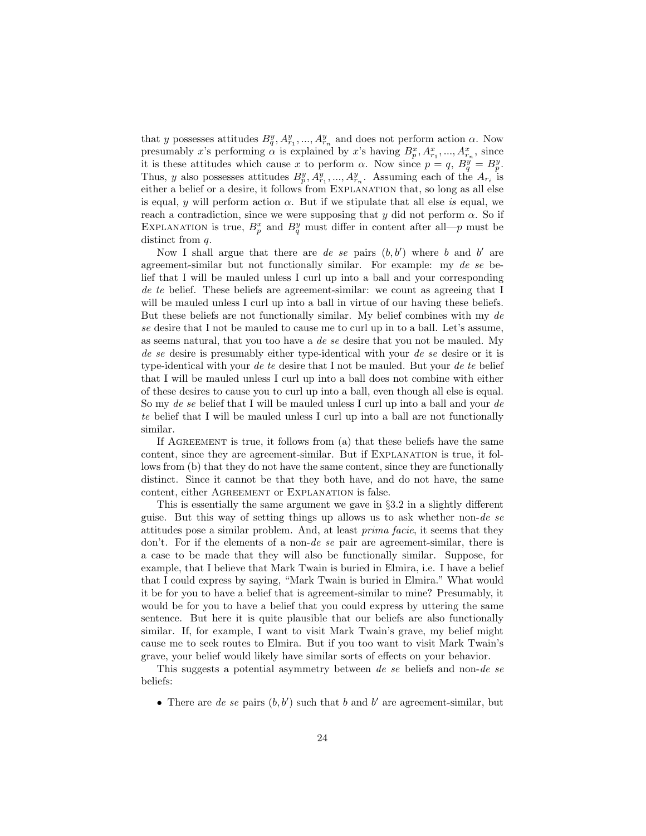that y possesses attitudes  $B_q^y, A_{r_1}^y, ..., A_{r_n}^y$  and does not perform action  $\alpha$ . Now presumably x's performing  $\alpha$  is explained by x's having  $B_p^x, A_{r_1}^x, ..., A_{r_n}^x$ , since it is these attitudes which cause x to perform  $\alpha$ . Now since  $p = q$ ,  $B_q^y = B_p^y$ . Thus, y also possesses attitudes  $B_p^y, A_{r_1}^y, ..., A_{r_n}^y$ . Assuming each of the  $A_{r_i}$  is either a belief or a desire, it follows from EXPLANATION that, so long as all else is equal, y will perform action  $\alpha$ . But if we stipulate that all else is equal, we reach a contradiction, since we were supposing that  $y$  did not perform  $\alpha$ . So if EXPLANATION is true,  $B_p^x$  and  $B_q^y$  must differ in content after all—p must be distinct from q.

Now I shall argue that there are de se pairs  $(b, b')$  where b and b' are agreement-similar but not functionally similar. For example: my de se belief that I will be mauled unless I curl up into a ball and your corresponding de te belief. These beliefs are agreement-similar: we count as agreeing that I will be mauled unless I curl up into a ball in virtue of our having these beliefs. But these beliefs are not functionally similar. My belief combines with my de se desire that I not be mauled to cause me to curl up in to a ball. Let's assume, as seems natural, that you too have a de se desire that you not be mauled. My de se desire is presumably either type-identical with your de se desire or it is type-identical with your de te desire that I not be mauled. But your de te belief that I will be mauled unless I curl up into a ball does not combine with either of these desires to cause you to curl up into a ball, even though all else is equal. So my de se belief that I will be mauled unless I curl up into a ball and your de te belief that I will be mauled unless I curl up into a ball are not functionally similar.

If AGREEMENT is true, it follows from (a) that these beliefs have the same content, since they are agreement-similar. But if Explanation is true, it follows from (b) that they do not have the same content, since they are functionally distinct. Since it cannot be that they both have, and do not have, the same content, either Agreement or Explanation is false.

This is essentially the same argument we gave in §3.2 in a slightly different guise. But this way of setting things up allows us to ask whether non-de se attitudes pose a similar problem. And, at least prima facie, it seems that they don't. For if the elements of a non-de se pair are agreement-similar, there is a case to be made that they will also be functionally similar. Suppose, for example, that I believe that Mark Twain is buried in Elmira, i.e. I have a belief that I could express by saying, "Mark Twain is buried in Elmira." What would it be for you to have a belief that is agreement-similar to mine? Presumably, it would be for you to have a belief that you could express by uttering the same sentence. But here it is quite plausible that our beliefs are also functionally similar. If, for example, I want to visit Mark Twain's grave, my belief might cause me to seek routes to Elmira. But if you too want to visit Mark Twain's grave, your belief would likely have similar sorts of effects on your behavior.

This suggests a potential asymmetry between de se beliefs and non-de se beliefs:

• There are de se pairs  $(b, b')$  such that b and b' are agreement-similar, but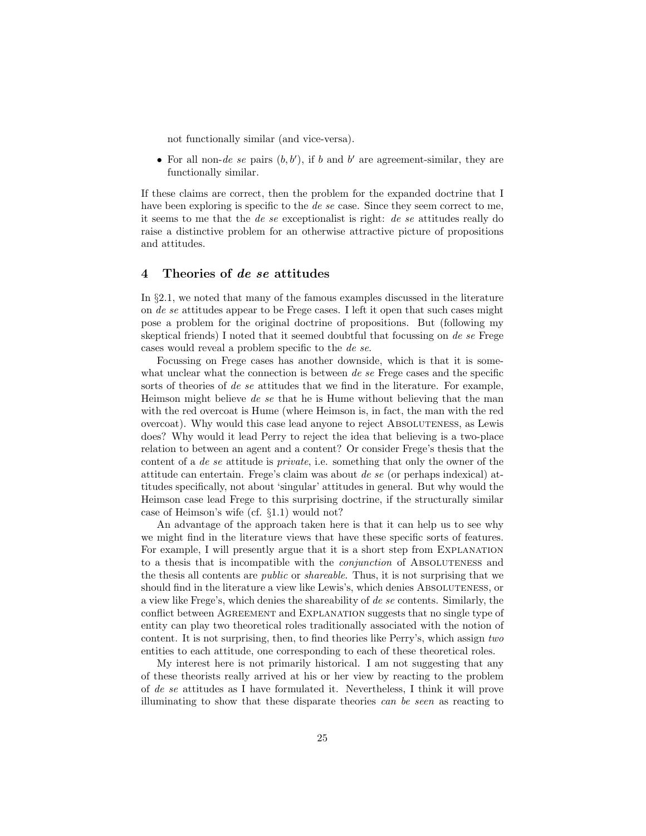not functionally similar (and vice-versa).

• For all non-de se pairs  $(b, b')$ , if b and b' are agreement-similar, they are functionally similar.

If these claims are correct, then the problem for the expanded doctrine that I have been exploring is specific to the *de se* case. Since they seem correct to me, it seems to me that the de se exceptionalist is right: de se attitudes really do raise a distinctive problem for an otherwise attractive picture of propositions and attitudes.

# 4 Theories of de se attitudes

In §2.1, we noted that many of the famous examples discussed in the literature on de se attitudes appear to be Frege cases. I left it open that such cases might pose a problem for the original doctrine of propositions. But (following my skeptical friends) I noted that it seemed doubtful that focussing on de se Frege cases would reveal a problem specific to the de se.

Focussing on Frege cases has another downside, which is that it is somewhat unclear what the connection is between de see Frege cases and the specific sorts of theories of de se attitudes that we find in the literature. For example, Heimson might believe de se that he is Hume without believing that the man with the red overcoat is Hume (where Heimson is, in fact, the man with the red overcoat). Why would this case lead anyone to reject ABSOLUTENESS, as Lewis does? Why would it lead Perry to reject the idea that believing is a two-place relation to between an agent and a content? Or consider Frege's thesis that the content of a *de se* attitude is *private*, i.e. something that only the owner of the attitude can entertain. Frege's claim was about de se (or perhaps indexical) attitudes specifically, not about 'singular' attitudes in general. But why would the Heimson case lead Frege to this surprising doctrine, if the structurally similar case of Heimson's wife (cf. §1.1) would not?

An advantage of the approach taken here is that it can help us to see why we might find in the literature views that have these specific sorts of features. For example, I will presently argue that it is a short step from EXPLANATION to a thesis that is incompatible with the *conjunction* of ABSOLUTENESS and the thesis all contents are public or shareable. Thus, it is not surprising that we should find in the literature a view like Lewis's, which denies ABSOLUTENESS, or a view like Frege's, which denies the shareability of de se contents. Similarly, the conflict between Agreement and Explanation suggests that no single type of entity can play two theoretical roles traditionally associated with the notion of content. It is not surprising, then, to find theories like Perry's, which assign two entities to each attitude, one corresponding to each of these theoretical roles.

My interest here is not primarily historical. I am not suggesting that any of these theorists really arrived at his or her view by reacting to the problem of de se attitudes as I have formulated it. Nevertheless, I think it will prove illuminating to show that these disparate theories can be seen as reacting to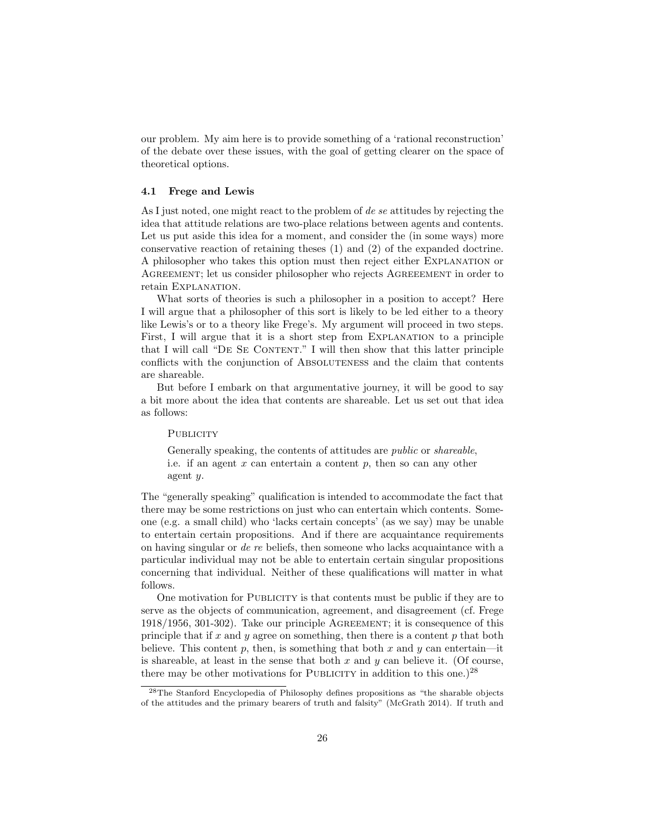our problem. My aim here is to provide something of a 'rational reconstruction' of the debate over these issues, with the goal of getting clearer on the space of theoretical options.

### 4.1 Frege and Lewis

As I just noted, one might react to the problem of de se attitudes by rejecting the idea that attitude relations are two-place relations between agents and contents. Let us put aside this idea for a moment, and consider the (in some ways) more conservative reaction of retaining theses (1) and (2) of the expanded doctrine. A philosopher who takes this option must then reject either Explanation or AGREEMENT; let us consider philosopher who rejects AGREEEMENT in order to retain EXPLANATION.

What sorts of theories is such a philosopher in a position to accept? Here I will argue that a philosopher of this sort is likely to be led either to a theory like Lewis's or to a theory like Frege's. My argument will proceed in two steps. First, I will argue that it is a short step from Explanation to a principle that I will call "DE SE CONTENT." I will then show that this latter principle conflicts with the conjunction of Absoluteness and the claim that contents are shareable.

But before I embark on that argumentative journey, it will be good to say a bit more about the idea that contents are shareable. Let us set out that idea as follows:

#### PUBLICITY

Generally speaking, the contents of attitudes are public or shareable, i.e. if an agent  $x$  can entertain a content  $p$ , then so can any other agent y.

The "generally speaking" qualification is intended to accommodate the fact that there may be some restrictions on just who can entertain which contents. Someone (e.g. a small child) who 'lacks certain concepts' (as we say) may be unable to entertain certain propositions. And if there are acquaintance requirements on having singular or de re beliefs, then someone who lacks acquaintance with a particular individual may not be able to entertain certain singular propositions concerning that individual. Neither of these qualifications will matter in what follows.

One motivation for PUBLICITY is that contents must be public if they are to serve as the objects of communication, agreement, and disagreement (cf. Frege 1918/1956, 301-302). Take our principle Agreement; it is consequence of this principle that if x and y agree on something, then there is a content p that both believe. This content p, then, is something that both x and y can entertain—it is shareable, at least in the sense that both  $x$  and  $y$  can believe it. (Of course, there may be other motivations for PUBLICITY in addition to this one.)<sup>28</sup>

<sup>28</sup>The Stanford Encyclopedia of Philosophy defines propositions as "the sharable objects of the attitudes and the primary bearers of truth and falsity" (McGrath 2014). If truth and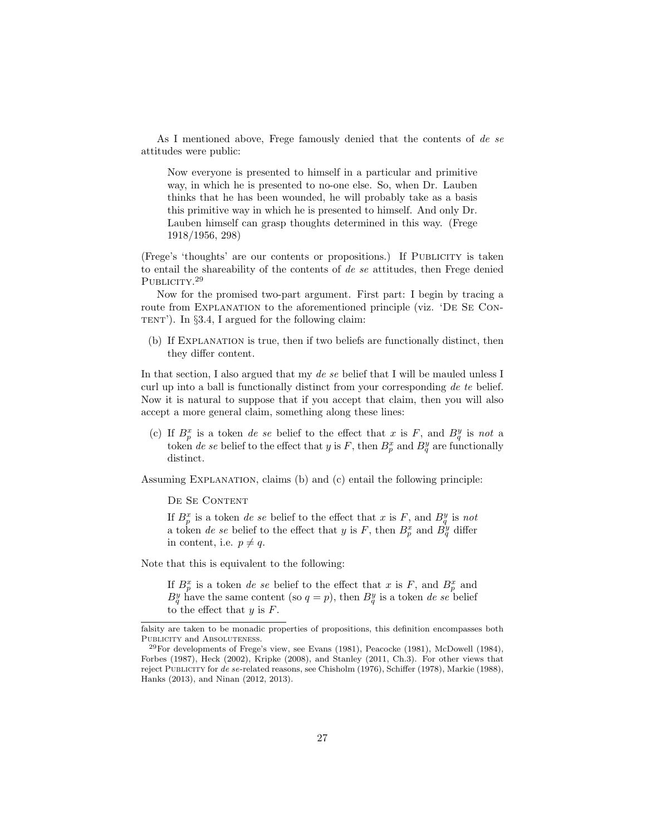As I mentioned above, Frege famously denied that the contents of de se attitudes were public:

Now everyone is presented to himself in a particular and primitive way, in which he is presented to no-one else. So, when Dr. Lauben thinks that he has been wounded, he will probably take as a basis this primitive way in which he is presented to himself. And only Dr. Lauben himself can grasp thoughts determined in this way. (Frege 1918/1956, 298)

(Frege's 'thoughts' are our contents or propositions.) If Publicity is taken to entail the shareability of the contents of de se attitudes, then Frege denied PUBLICITY.<sup>29</sup>

Now for the promised two-part argument. First part: I begin by tracing a route from EXPLANATION to the aforementioned principle (viz. 'DE SE CON-TENT'). In  $\S 3.4$ , I argued for the following claim:

(b) If Explanation is true, then if two beliefs are functionally distinct, then they differ content.

In that section, I also argued that my de se belief that I will be mauled unless I curl up into a ball is functionally distinct from your corresponding de te belief. Now it is natural to suppose that if you accept that claim, then you will also accept a more general claim, something along these lines:

(c) If  $B_p^x$  is a token de se belief to the effect that x is F, and  $B_q^y$  is not a token de se belief to the effect that y is F, then  $B_p^x$  and  $B_q^y$  are functionally distinct.

Assuming Explanation, claims (b) and (c) entail the following principle:

DE SE CONTENT

If  $B_p^x$  is a token de se belief to the effect that x is F, and  $B_q^y$  is not a token de se belief to the effect that y is F, then  $B_p^x$  and  $\dot{B}_q^y$  differ in content, i.e.  $p \neq q$ .

Note that this is equivalent to the following:

If  $B_p^x$  is a token de se belief to the effect that x is F, and  $B_p^x$  and  $B_q^y$  have the same content (so  $q = p$ ), then  $B_q^y$  is a token de se belief to the effect that  $y$  is  $F$ .

falsity are taken to be monadic properties of propositions, this definition encompasses both PUBLICITY and ABSOLUTENESS.

 $^{29}$ For developments of Frege's view, see Evans (1981), Peacocke (1981), McDowell (1984), Forbes (1987), Heck (2002), Kripke (2008), and Stanley (2011, Ch.3). For other views that reject Publicity for de se-related reasons, see Chisholm (1976), Schiffer (1978), Markie (1988), Hanks (2013), and Ninan (2012, 2013).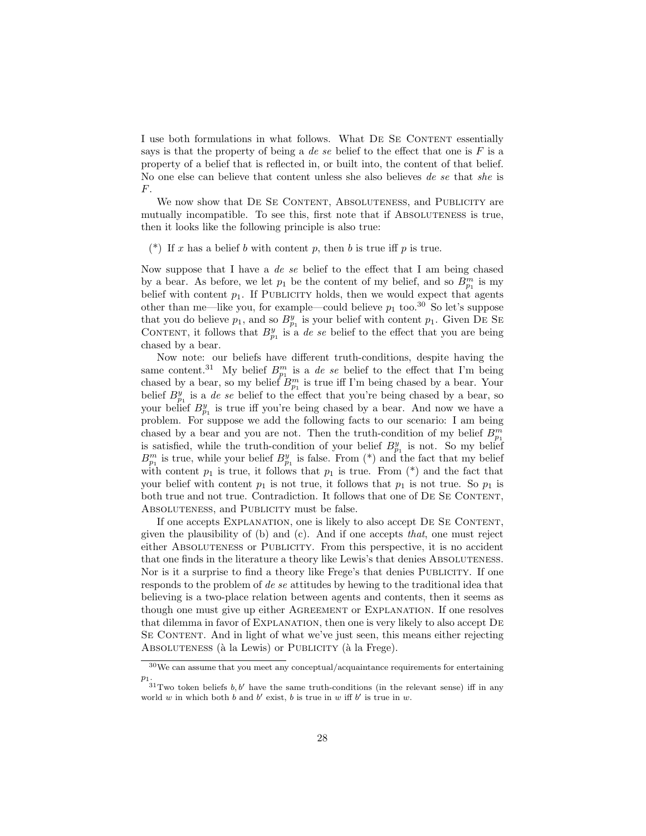I use both formulations in what follows. What De Se Content essentially says is that the property of being a de se belief to the effect that one is  $F$  is a property of a belief that is reflected in, or built into, the content of that belief. No one else can believe that content unless she also believes de se that she is F.

We now show that DE SE CONTENT, ABSOLUTENESS, and PUBLICITY are mutually incompatible. To see this, first note that if ABSOLUTENESS is true, then it looks like the following principle is also true:

#### (\*) If x has a belief b with content p, then b is true iff p is true.

Now suppose that I have a de se belief to the effect that I am being chased by a bear. As before, we let  $p_1$  be the content of my belief, and so  $B_{p_1}^m$  is my belief with content  $p_1$ . If PUBLICITY holds, then we would expect that agents other than me—like you, for example—could believe  $p_1$  too.<sup>30</sup> So let's suppose that you do believe  $p_1$ , and so  $B_{p_1}^y$  is your belief with content  $p_1$ . Given DE SE CONTENT, it follows that  $B_{p_1}^y$  is a de se belief to the effect that you are being chased by a bear.

Now note: our beliefs have different truth-conditions, despite having the same content.<sup>31</sup> My belief  $B_{p_1}^m$  is a de se belief to the effect that I'm being chased by a bear, so my belief  $B_{p_1}^m$  is true iff I'm being chased by a bear. Your belief  $B_{p_1}^y$  is a de se belief to the effect that you're being chased by a bear, so your belief  $B_{p_1}^y$  is true iff you're being chased by a bear. And now we have a problem. For suppose we add the following facts to our scenario: I am being chased by a bear and you are not. Then the truth-condition of my belief  $B_{p_1}^m$ is satisfied, while the truth-condition of your belief  $B_{p_1}^y$  is not. So my belief  $B_{p_1}^m$  is true, while your belief  $B_{p_1}^y$  is false. From (\*) and the fact that my belief with content  $p_1$  is true, it follows that  $p_1$  is true. From  $(*)$  and the fact that your belief with content  $p_1$  is not true, it follows that  $p_1$  is not true. So  $p_1$  is both true and not true. Contradiction. It follows that one of De Se Content, ABSOLUTENESS, and PUBLICITY must be false.

If one accepts Explanation, one is likely to also accept De Se Content, given the plausibility of  $(b)$  and  $(c)$ . And if one accepts that, one must reject either ABSOLUTENESS or PUBLICITY. From this perspective, it is no accident that one finds in the literature a theory like Lewis's that denies ABSOLUTENESS. Nor is it a surprise to find a theory like Frege's that denies PUBLICITY. If one responds to the problem of de se attitudes by hewing to the traditional idea that believing is a two-place relation between agents and contents, then it seems as though one must give up either AGREEMENT or EXPLANATION. If one resolves that dilemma in favor of Explanation, then one is very likely to also accept De SE CONTENT. And in light of what we've just seen, this means either rejecting ABSOLUTENESS (à la Lewis) or PUBLICITY (à la Frege).

<sup>30</sup>We can assume that you meet any conceptual/acquaintance requirements for entertaining  $p_1$ .

<sup>&</sup>lt;sup>31</sup>Two token beliefs *b*, *b'* have the same truth-conditions (in the relevant sense) iff in any orld *u* in which both *b* and *b'* evist *b* is true in *u* iff *b'* is true in *u* world w in which both b and b' exist, b is true in w iff b' is true in w.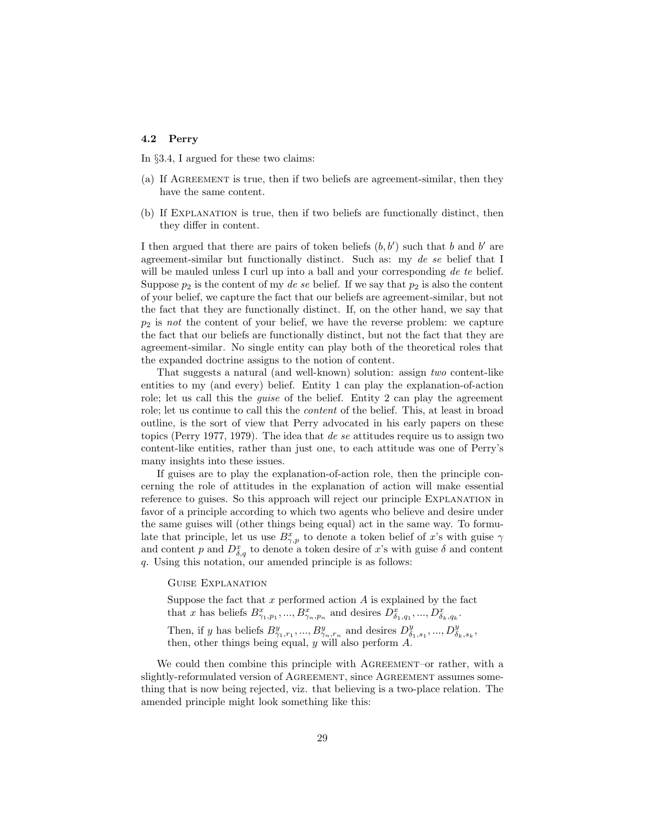### 4.2 Perry

In §3.4, I argued for these two claims:

- (a) If Agreement is true, then if two beliefs are agreement-similar, then they have the same content.
- (b) If Explanation is true, then if two beliefs are functionally distinct, then they differ in content.

I then argued that there are pairs of token beliefs  $(b, b')$  such that b and b' are agreement-similar but functionally distinct. Such as: my de se belief that I will be mauled unless I curl up into a ball and your corresponding de te belief. Suppose  $p_2$  is the content of my de se belief. If we say that  $p_2$  is also the content of your belief, we capture the fact that our beliefs are agreement-similar, but not the fact that they are functionally distinct. If, on the other hand, we say that  $p_2$  is not the content of your belief, we have the reverse problem: we capture the fact that our beliefs are functionally distinct, but not the fact that they are agreement-similar. No single entity can play both of the theoretical roles that the expanded doctrine assigns to the notion of content.

That suggests a natural (and well-known) solution: assign two content-like entities to my (and every) belief. Entity 1 can play the explanation-of-action role; let us call this the guise of the belief. Entity 2 can play the agreement role; let us continue to call this the content of the belief. This, at least in broad outline, is the sort of view that Perry advocated in his early papers on these topics (Perry 1977, 1979). The idea that de se attitudes require us to assign two content-like entities, rather than just one, to each attitude was one of Perry's many insights into these issues.

If guises are to play the explanation-of-action role, then the principle concerning the role of attitudes in the explanation of action will make essential reference to guises. So this approach will reject our principle Explanation in favor of a principle according to which two agents who believe and desire under the same guises will (other things being equal) act in the same way. To formulate that principle, let us use  $B^x_{\gamma,p}$  to denote a token belief of x's with guise  $\gamma$ and content p and  $D_{\delta,q}^x$  to denote a token desire of x's with guise  $\delta$  and content q. Using this notation, our amended principle is as follows:

### Guise Explanation

Suppose the fact that  $x$  performed action  $A$  is explained by the fact that x has beliefs  $B^x_{\gamma_1,p_1},...,B^x_{\gamma_n,p_n}$  and desires  $D^x_{\delta_1,q_1},...,D^x_{\delta_k,q_k}$ .

Then, if y has beliefs  $B_{\gamma_1,r_1}^y,...,B_{\gamma_n,r_n}^y$  and desires  $D_{\delta_1,s_1}^y,...,D_{\delta_k,s_k}^y$ , then, other things being equal,  $y$  will also perform  $A$ .

We could then combine this principle with AGREEMENT–or rather, with a slightly-reformulated version of AGREEMENT, since AGREEMENT assumes something that is now being rejected, viz. that believing is a two-place relation. The amended principle might look something like this: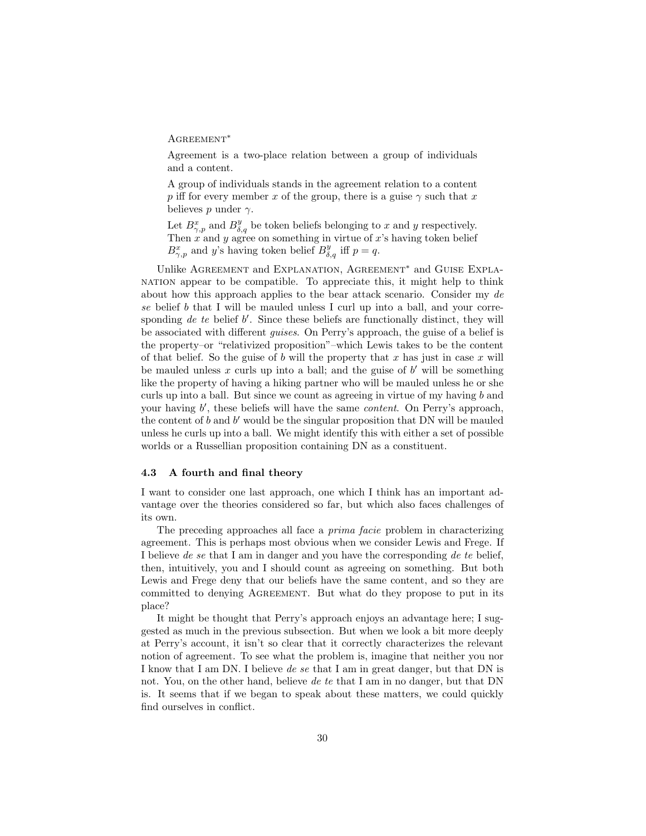### Agreement∗

Agreement is a two-place relation between a group of individuals and a content.

A group of individuals stands in the agreement relation to a content p iff for every member x of the group, there is a guise  $\gamma$  such that x believes  $p$  under  $\gamma$ .

Let  $B_{\gamma,p}^x$  and  $B_{\delta,q}^y$  be token beliefs belonging to x and y respectively. Then  $x$  and  $y$  agree on something in virtue of  $x$ 's having token belief  $B_{\gamma,p}^x$  and y's having token belief  $B_{\delta,q}^y$  iff  $p=q$ .

Unlike Agreement and Explanation, Agreement<sup>∗</sup> and Guise Explanation appear to be compatible. To appreciate this, it might help to think about how this approach applies to the bear attack scenario. Consider my de se belief b that I will be mauled unless I curl up into a ball, and your corresponding  $de$  te belief  $b'$ . Since these beliefs are functionally distinct, they will be associated with different guises. On Perry's approach, the guise of a belief is the property–or "relativized proposition"–which Lewis takes to be the content of that belief. So the guise of  $b$  will the property that  $x$  has just in case  $x$  will be mauled unless  $x$  curls up into a ball; and the guise of  $b'$  will be something like the property of having a hiking partner who will be mauled unless he or she curls up into a ball. But since we count as agreeing in virtue of my having b and your having b', these beliefs will have the same *content*. On Perry's approach, the content of  $b$  and  $b'$  would be the singular proposition that DN will be mauled unless he curls up into a ball. We might identify this with either a set of possible worlds or a Russellian proposition containing DN as a constituent.

#### 4.3 A fourth and final theory

I want to consider one last approach, one which I think has an important advantage over the theories considered so far, but which also faces challenges of its own.

The preceding approaches all face a prima facie problem in characterizing agreement. This is perhaps most obvious when we consider Lewis and Frege. If I believe de se that I am in danger and you have the corresponding de te belief, then, intuitively, you and I should count as agreeing on something. But both Lewis and Frege deny that our beliefs have the same content, and so they are committed to denying Agreement. But what do they propose to put in its place?

It might be thought that Perry's approach enjoys an advantage here; I suggested as much in the previous subsection. But when we look a bit more deeply at Perry's account, it isn't so clear that it correctly characterizes the relevant notion of agreement. To see what the problem is, imagine that neither you nor I know that I am DN. I believe de se that I am in great danger, but that DN is not. You, on the other hand, believe de te that I am in no danger, but that DN is. It seems that if we began to speak about these matters, we could quickly find ourselves in conflict.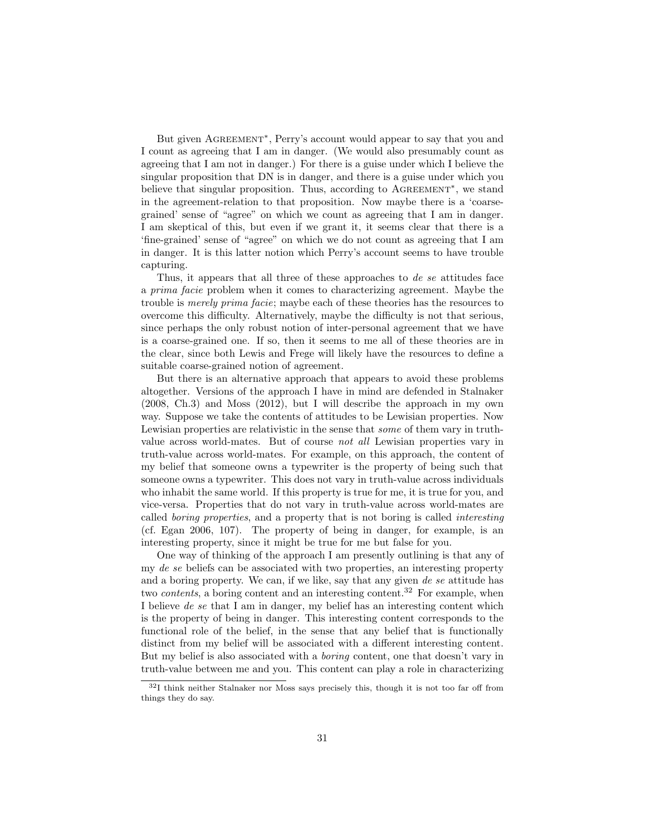But given AGREEMENT<sup>\*</sup>, Perry's account would appear to say that you and I count as agreeing that I am in danger. (We would also presumably count as agreeing that I am not in danger.) For there is a guise under which I believe the singular proposition that DN is in danger, and there is a guise under which you believe that singular proposition. Thus, according to AGREEMENT<sup>\*</sup>, we stand in the agreement-relation to that proposition. Now maybe there is a 'coarsegrained' sense of "agree" on which we count as agreeing that I am in danger. I am skeptical of this, but even if we grant it, it seems clear that there is a 'fine-grained' sense of "agree" on which we do not count as agreeing that I am in danger. It is this latter notion which Perry's account seems to have trouble capturing.

Thus, it appears that all three of these approaches to de se attitudes face a prima facie problem when it comes to characterizing agreement. Maybe the trouble is merely prima facie; maybe each of these theories has the resources to overcome this difficulty. Alternatively, maybe the difficulty is not that serious, since perhaps the only robust notion of inter-personal agreement that we have is a coarse-grained one. If so, then it seems to me all of these theories are in the clear, since both Lewis and Frege will likely have the resources to define a suitable coarse-grained notion of agreement.

But there is an alternative approach that appears to avoid these problems altogether. Versions of the approach I have in mind are defended in Stalnaker (2008, Ch.3) and Moss (2012), but I will describe the approach in my own way. Suppose we take the contents of attitudes to be Lewisian properties. Now Lewisian properties are relativistic in the sense that some of them vary in truthvalue across world-mates. But of course not all Lewisian properties vary in truth-value across world-mates. For example, on this approach, the content of my belief that someone owns a typewriter is the property of being such that someone owns a typewriter. This does not vary in truth-value across individuals who inhabit the same world. If this property is true for me, it is true for you, and vice-versa. Properties that do not vary in truth-value across world-mates are called boring properties, and a property that is not boring is called interesting (cf. Egan 2006, 107). The property of being in danger, for example, is an interesting property, since it might be true for me but false for you.

One way of thinking of the approach I am presently outlining is that any of my de se beliefs can be associated with two properties, an interesting property and a boring property. We can, if we like, say that any given de se attitude has two *contents*, a boring content and an interesting content.<sup>32</sup> For example, when I believe de se that I am in danger, my belief has an interesting content which is the property of being in danger. This interesting content corresponds to the functional role of the belief, in the sense that any belief that is functionally distinct from my belief will be associated with a different interesting content. But my belief is also associated with a boring content, one that doesn't vary in truth-value between me and you. This content can play a role in characterizing

<sup>32</sup>I think neither Stalnaker nor Moss says precisely this, though it is not too far off from things they do say.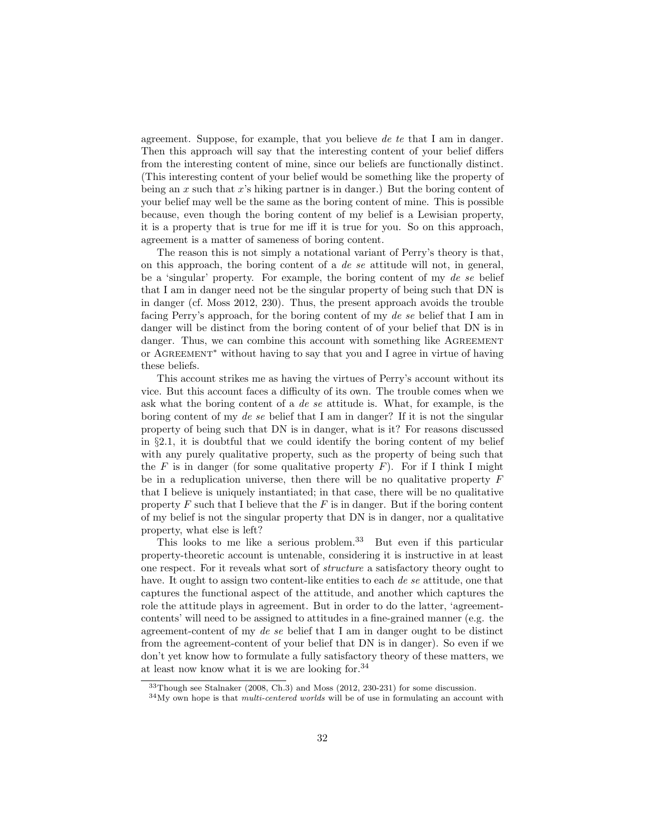agreement. Suppose, for example, that you believe de te that I am in danger. Then this approach will say that the interesting content of your belief differs from the interesting content of mine, since our beliefs are functionally distinct. (This interesting content of your belief would be something like the property of being an x such that x's hiking partner is in danger.) But the boring content of your belief may well be the same as the boring content of mine. This is possible because, even though the boring content of my belief is a Lewisian property, it is a property that is true for me iff it is true for you. So on this approach, agreement is a matter of sameness of boring content.

The reason this is not simply a notational variant of Perry's theory is that, on this approach, the boring content of a *de se* attitude will not, in general, be a 'singular' property. For example, the boring content of my de se belief that I am in danger need not be the singular property of being such that DN is in danger (cf. Moss 2012, 230). Thus, the present approach avoids the trouble facing Perry's approach, for the boring content of my de se belief that I am in danger will be distinct from the boring content of of your belief that DN is in danger. Thus, we can combine this account with something like AGREEMENT or AGREEMENT<sup>∗</sup> without having to say that you and I agree in virtue of having these beliefs.

This account strikes me as having the virtues of Perry's account without its vice. But this account faces a difficulty of its own. The trouble comes when we ask what the boring content of a de se attitude is. What, for example, is the boring content of my de se belief that I am in danger? If it is not the singular property of being such that DN is in danger, what is it? For reasons discussed in §2.1, it is doubtful that we could identify the boring content of my belief with any purely qualitative property, such as the property of being such that the F is in danger (for some qualitative property  $F$ ). For if I think I might be in a reduplication universe, then there will be no qualitative property  $F$ that I believe is uniquely instantiated; in that case, there will be no qualitative property  $F$  such that I believe that the  $F$  is in danger. But if the boring content of my belief is not the singular property that DN is in danger, nor a qualitative property, what else is left?

This looks to me like a serious problem.<sup>33</sup> But even if this particular property-theoretic account is untenable, considering it is instructive in at least one respect. For it reveals what sort of structure a satisfactory theory ought to have. It ought to assign two content-like entities to each de se attitude, one that captures the functional aspect of the attitude, and another which captures the role the attitude plays in agreement. But in order to do the latter, 'agreementcontents' will need to be assigned to attitudes in a fine-grained manner (e.g. the agreement-content of my de se belief that I am in danger ought to be distinct from the agreement-content of your belief that DN is in danger). So even if we don't yet know how to formulate a fully satisfactory theory of these matters, we at least now know what it is we are looking for.<sup>34</sup>

<sup>33</sup>Though see Stalnaker (2008, Ch.3) and Moss (2012, 230-231) for some discussion.

 $34$ My own hope is that *multi-centered worlds* will be of use in formulating an account with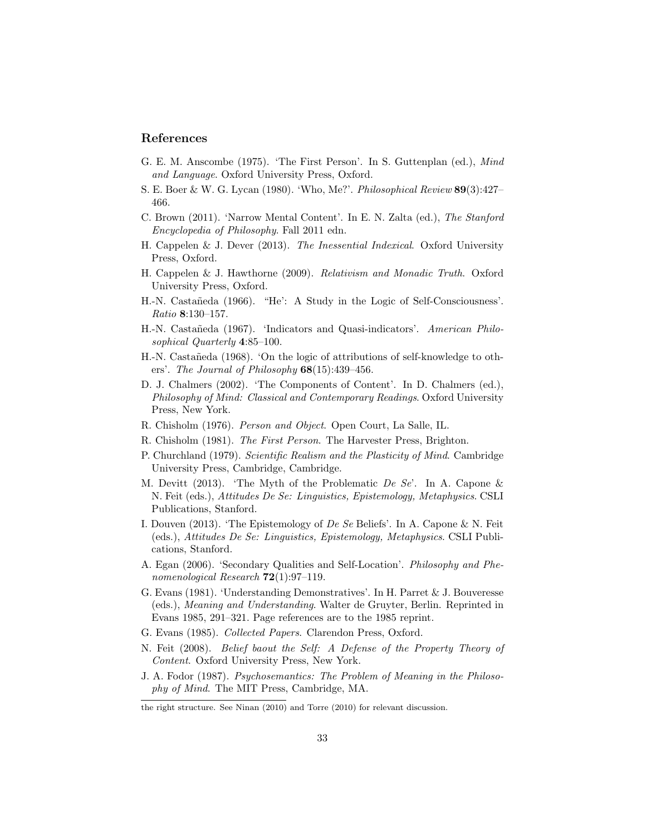# References

- G. E. M. Anscombe (1975). 'The First Person'. In S. Guttenplan (ed.), Mind and Language. Oxford University Press, Oxford.
- S. E. Boer & W. G. Lycan (1980). 'Who, Me?'. Philosophical Review 89(3):427– 466.
- C. Brown (2011). 'Narrow Mental Content'. In E. N. Zalta (ed.), The Stanford Encyclopedia of Philosophy. Fall 2011 edn.
- H. Cappelen & J. Dever (2013). The Inessential Indexical. Oxford University Press, Oxford.
- H. Cappelen & J. Hawthorne (2009). Relativism and Monadic Truth. Oxford University Press, Oxford.
- H.-N. Castañeda (1966). "He': A Study in the Logic of Self-Consciousness'. Ratio 8:130–157.
- H.-N. Castañeda (1967). 'Indicators and Quasi-indicators'. American Philosophical Quarterly 4:85–100.
- H.-N. Castañeda (1968). 'On the logic of attributions of self-knowledge to others'. The Journal of Philosophy 68(15):439–456.
- D. J. Chalmers (2002). 'The Components of Content'. In D. Chalmers (ed.), Philosophy of Mind: Classical and Contemporary Readings. Oxford University Press, New York.
- R. Chisholm (1976). Person and Object. Open Court, La Salle, IL.
- R. Chisholm (1981). The First Person. The Harvester Press, Brighton.
- P. Churchland (1979). Scientific Realism and the Plasticity of Mind. Cambridge University Press, Cambridge, Cambridge.
- M. Devitt (2013). 'The Myth of the Problematic  $De Se'$ . In A. Capone & N. Feit (eds.), Attitudes De Se: Linguistics, Epistemology, Metaphysics. CSLI Publications, Stanford.
- I. Douven (2013). 'The Epistemology of De Se Beliefs'. In A. Capone & N. Feit (eds.), Attitudes De Se: Linguistics, Epistemology, Metaphysics. CSLI Publications, Stanford.
- A. Egan (2006). 'Secondary Qualities and Self-Location'. Philosophy and Phenomenological Research 72(1):97–119.
- G. Evans (1981). 'Understanding Demonstratives'. In H. Parret & J. Bouveresse (eds.), Meaning and Understanding. Walter de Gruyter, Berlin. Reprinted in Evans 1985, 291–321. Page references are to the 1985 reprint.
- G. Evans (1985). Collected Papers. Clarendon Press, Oxford.
- N. Feit (2008). Belief baout the Self: A Defense of the Property Theory of Content. Oxford University Press, New York.
- J. A. Fodor (1987). Psychosemantics: The Problem of Meaning in the Philosophy of Mind. The MIT Press, Cambridge, MA.

the right structure. See Ninan (2010) and Torre (2010) for relevant discussion.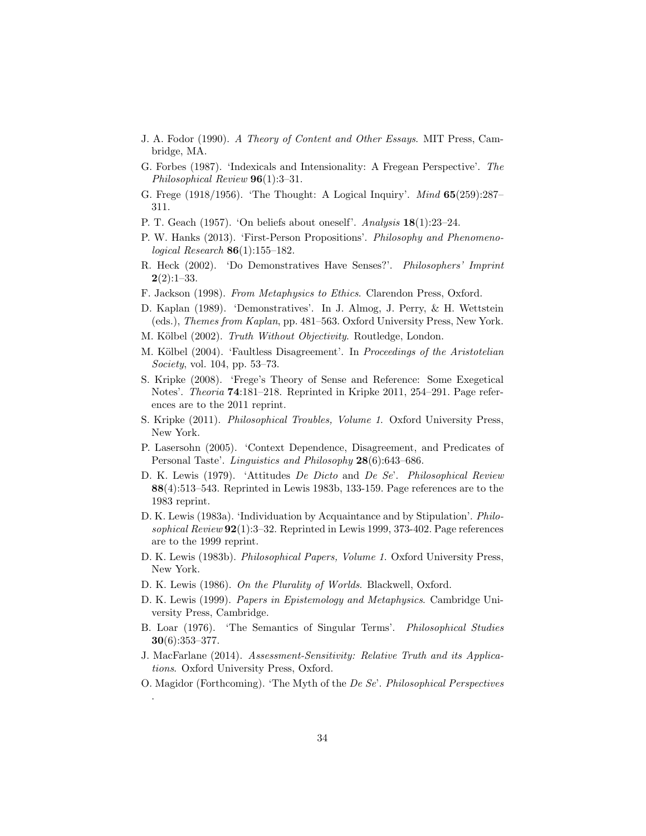- J. A. Fodor (1990). A Theory of Content and Other Essays. MIT Press, Cambridge, MA.
- G. Forbes (1987). 'Indexicals and Intensionality: A Fregean Perspective'. The Philosophical Review 96(1):3–31.
- G. Frege (1918/1956). 'The Thought: A Logical Inquiry'. Mind 65(259):287– 311.
- P. T. Geach (1957). 'On beliefs about oneself'. Analysis 18(1):23–24.
- P. W. Hanks (2013). 'First-Person Propositions'. Philosophy and Phenomenological Research  $86(1):155-182$ .
- R. Heck (2002). 'Do Demonstratives Have Senses?'. Philosophers' Imprint  $2(2):1-33.$
- F. Jackson (1998). From Metaphysics to Ethics. Clarendon Press, Oxford.
- D. Kaplan (1989). 'Demonstratives'. In J. Almog, J. Perry, & H. Wettstein (eds.), Themes from Kaplan, pp. 481–563. Oxford University Press, New York.
- M. Kölbel (2002). Truth Without Objectivity. Routledge, London.
- M. Kölbel (2004). 'Faultless Disagreement'. In Proceedings of the Aristotelian Society, vol. 104, pp. 53–73.
- S. Kripke (2008). 'Frege's Theory of Sense and Reference: Some Exegetical Notes'. Theoria 74:181–218. Reprinted in Kripke 2011, 254–291. Page references are to the 2011 reprint.
- S. Kripke (2011). Philosophical Troubles, Volume 1. Oxford University Press, New York.
- P. Lasersohn (2005). 'Context Dependence, Disagreement, and Predicates of Personal Taste'. Linguistics and Philosophy 28(6):643–686.
- D. K. Lewis (1979). 'Attitudes De Dicto and De Se'. Philosophical Review 88(4):513–543. Reprinted in Lewis 1983b, 133-159. Page references are to the 1983 reprint.
- D. K. Lewis (1983a). 'Individuation by Acquaintance and by Stipulation'. Philosophical Review  $92(1)$ :3–32. Reprinted in Lewis 1999, 373-402. Page references are to the 1999 reprint.
- D. K. Lewis (1983b). Philosophical Papers, Volume 1. Oxford University Press, New York.
- D. K. Lewis (1986). On the Plurality of Worlds. Blackwell, Oxford.

.

- D. K. Lewis (1999). Papers in Epistemology and Metaphysics. Cambridge University Press, Cambridge.
- B. Loar (1976). 'The Semantics of Singular Terms'. Philosophical Studies 30(6):353–377.
- J. MacFarlane (2014). Assessment-Sensitivity: Relative Truth and its Applications. Oxford University Press, Oxford.
- O. Magidor (Forthcoming). 'The Myth of the De Se'. Philosophical Perspectives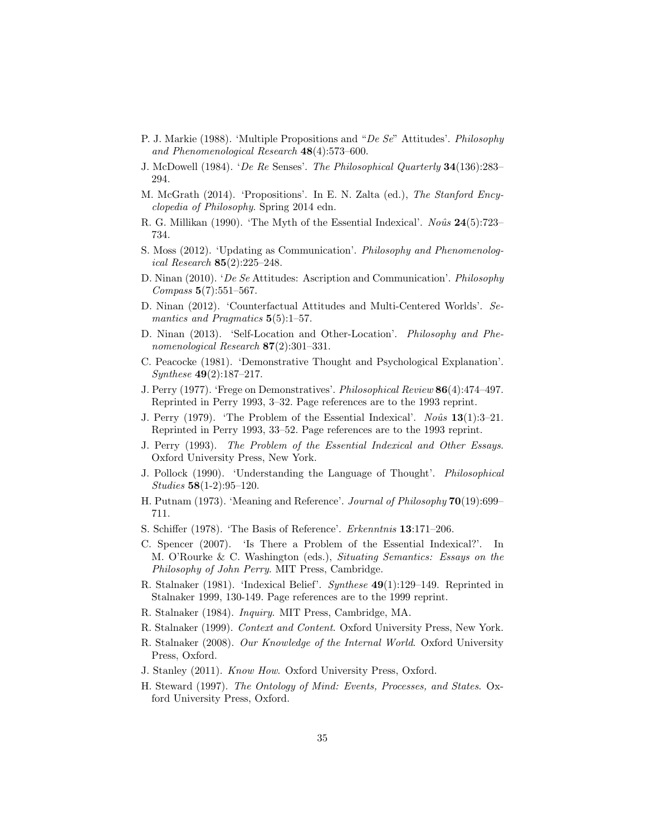- P. J. Markie (1988). 'Multiple Propositions and "De Se" Attitudes'. Philosophy and Phenomenological Research  $48(4):573-600$ .
- J. McDowell (1984). 'De Re Senses'. The Philosophical Quarterly 34(136):283– 294.
- M. McGrath (2014). 'Propositions'. In E. N. Zalta (ed.), The Stanford Encyclopedia of Philosophy. Spring 2014 edn.
- R. G. Millikan (1990). 'The Myth of the Essential Indexical'.  $N_{0}$   $\alpha$   $\beta$   $\beta$   $\beta$   $\beta$   $\beta$   $\beta$ 734.
- S. Moss (2012). 'Updating as Communication'. Philosophy and Phenomenological Research 85(2):225–248.
- D. Ninan (2010). 'De Se Attitudes: Ascription and Communication'. Philosophy Compass 5(7):551–567.
- D. Ninan (2012). 'Counterfactual Attitudes and Multi-Centered Worlds'. Semantics and Pragmatics  $5(5):1-57$ .
- D. Ninan (2013). 'Self-Location and Other-Location'. Philosophy and Phenomenological Research 87(2):301–331.
- C. Peacocke (1981). 'Demonstrative Thought and Psychological Explanation'.  $Synthese$  49(2):187-217.
- J. Perry (1977). 'Frege on Demonstratives'. Philosophical Review 86(4):474–497. Reprinted in Perry 1993, 3–32. Page references are to the 1993 reprint.
- J. Perry (1979). 'The Problem of the Essential Indexical'. No $\hat{u}$ s 13(1):3–21. Reprinted in Perry 1993, 33–52. Page references are to the 1993 reprint.
- J. Perry (1993). The Problem of the Essential Indexical and Other Essays. Oxford University Press, New York.
- J. Pollock (1990). 'Understanding the Language of Thought'. Philosophical Studies 58(1-2):95–120.
- H. Putnam (1973). 'Meaning and Reference'. Journal of Philosophy 70(19):699– 711.
- S. Schiffer (1978). 'The Basis of Reference'. Erkenntnis 13:171–206.
- C. Spencer (2007). 'Is There a Problem of the Essential Indexical?'. In M. O'Rourke & C. Washington (eds.), Situating Semantics: Essays on the Philosophy of John Perry. MIT Press, Cambridge.
- R. Stalnaker (1981). 'Indexical Belief'. Synthese 49(1):129–149. Reprinted in Stalnaker 1999, 130-149. Page references are to the 1999 reprint.
- R. Stalnaker (1984). Inquiry. MIT Press, Cambridge, MA.
- R. Stalnaker (1999). Context and Content. Oxford University Press, New York.
- R. Stalnaker (2008). Our Knowledge of the Internal World. Oxford University Press, Oxford.
- J. Stanley (2011). Know How. Oxford University Press, Oxford.
- H. Steward (1997). The Ontology of Mind: Events, Processes, and States. Oxford University Press, Oxford.